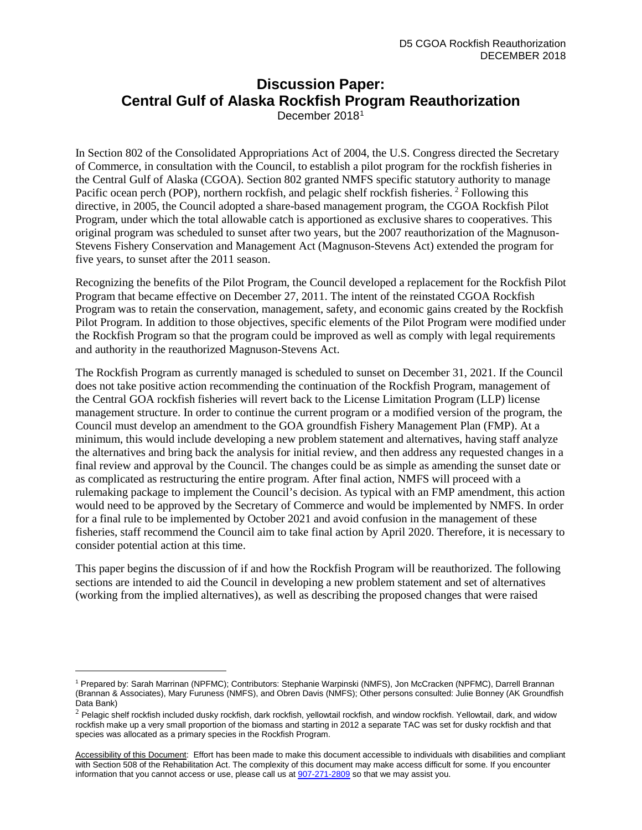## **Discussion Paper: Central Gulf of Alaska Rockfish Program Reauthorization** December 2018[1](#page-0-0)

In Section 802 of the Consolidated Appropriations Act of 2004, the U.S. Congress directed the Secretary of Commerce, in consultation with the Council, to establish a pilot program for the rockfish fisheries in the Central Gulf of Alaska (CGOA). Section 802 granted NMFS specific statutory authority to manage Pacific ocean perch (POP), northern rockfish, and pelagic shelf rockfish fisheries. <sup>[2](#page-0-1)</sup> Following this directive, in 2005, the Council adopted a share-based management program, the CGOA Rockfish Pilot Program, under which the total allowable catch is apportioned as exclusive shares to cooperatives. This original program was scheduled to sunset after two years, but the 2007 reauthorization of the Magnuson-Stevens Fishery Conservation and Management Act (Magnuson-Stevens Act) extended the program for five years, to sunset after the 2011 season.

Recognizing the benefits of the Pilot Program, the Council developed a replacement for the Rockfish Pilot Program that became effective on December 27, 2011. The intent of the reinstated CGOA Rockfish Program was to retain the conservation, management, safety, and economic gains created by the Rockfish Pilot Program. In addition to those objectives, specific elements of the Pilot Program were modified under the Rockfish Program so that the program could be improved as well as comply with legal requirements and authority in the reauthorized Magnuson-Stevens Act.

The Rockfish Program as currently managed is scheduled to sunset on December 31, 2021. If the Council does not take positive action recommending the continuation of the Rockfish Program, management of the Central GOA rockfish fisheries will revert back to the License Limitation Program (LLP) license management structure. In order to continue the current program or a modified version of the program, the Council must develop an amendment to the GOA groundfish Fishery Management Plan (FMP). At a minimum, this would include developing a new problem statement and alternatives, having staff analyze the alternatives and bring back the analysis for initial review, and then address any requested changes in a final review and approval by the Council. The changes could be as simple as amending the sunset date or as complicated as restructuring the entire program. After final action, NMFS will proceed with a rulemaking package to implement the Council's decision. As typical with an FMP amendment, this action would need to be approved by the Secretary of Commerce and would be implemented by NMFS. In order for a final rule to be implemented by October 2021 and avoid confusion in the management of these fisheries, staff recommend the Council aim to take final action by April 2020. Therefore, it is necessary to consider potential action at this time.

This paper begins the discussion of if and how the Rockfish Program will be reauthorized. The following sections are intended to aid the Council in developing a new problem statement and set of alternatives (working from the implied alternatives), as well as describing the proposed changes that were raised

<span id="page-0-0"></span><sup>1</sup> Prepared by: Sarah Marrinan (NPFMC); Contributors: Stephanie Warpinski (NMFS), Jon McCracken (NPFMC), Darrell Brannan (Brannan & Associates), Mary Furuness (NMFS), and Obren Davis (NMFS); Other persons consulted: Julie Bonney (AK Groundfish Data Bank)

<span id="page-0-1"></span> $2$  Pelagic shelf rockfish included dusky rockfish, dark rockfish, yellowtail rockfish, and window rockfish. Yellowtail, dark, and widow rockfish make up a very small proportion of the biomass and starting in 2012 a separate TAC was set for dusky rockfish and that species was allocated as a primary species in the Rockfish Program.

Accessibility of this Document: Effort has been made to make this document accessible to individuals with disabilities and compliant with Section 508 of the Rehabilitation Act. The complexity of this document may make access difficult for some. If you encounter information that you cannot access or use, please call us at [907-271-2809](tel:%28907%29%20586-7228) so that we may assist you.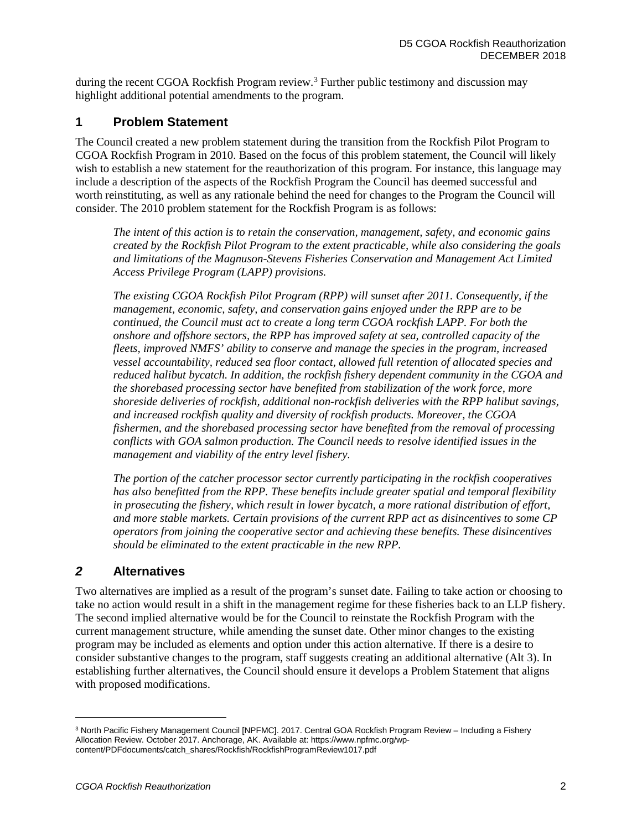during the recent CGOA Rockfish Program review.<sup>[3](#page-1-0)</sup> Further public testimony and discussion may highlight additional potential amendments to the program.

## **1 Problem Statement**

The Council created a new problem statement during the transition from the Rockfish Pilot Program to CGOA Rockfish Program in 2010. Based on the focus of this problem statement, the Council will likely wish to establish a new statement for the reauthorization of this program. For instance, this language may include a description of the aspects of the Rockfish Program the Council has deemed successful and worth reinstituting, as well as any rationale behind the need for changes to the Program the Council will consider. The 2010 problem statement for the Rockfish Program is as follows:

*The intent of this action is to retain the conservation, management, safety, and economic gains created by the Rockfish Pilot Program to the extent practicable, while also considering the goals and limitations of the Magnuson-Stevens Fisheries Conservation and Management Act Limited Access Privilege Program (LAPP) provisions.* 

*The existing CGOA Rockfish Pilot Program (RPP) will sunset after 2011. Consequently, if the management, economic, safety, and conservation gains enjoyed under the RPP are to be continued, the Council must act to create a long term CGOA rockfish LAPP. For both the onshore and offshore sectors, the RPP has improved safety at sea, controlled capacity of the fleets, improved NMFS' ability to conserve and manage the species in the program, increased vessel accountability, reduced sea floor contact, allowed full retention of allocated species and reduced halibut bycatch. In addition, the rockfish fishery dependent community in the CGOA and the shorebased processing sector have benefited from stabilization of the work force, more shoreside deliveries of rockfish, additional non-rockfish deliveries with the RPP halibut savings, and increased rockfish quality and diversity of rockfish products. Moreover, the CGOA fishermen, and the shorebased processing sector have benefited from the removal of processing conflicts with GOA salmon production. The Council needs to resolve identified issues in the management and viability of the entry level fishery.* 

*The portion of the catcher processor sector currently participating in the rockfish cooperatives has also benefitted from the RPP. These benefits include greater spatial and temporal flexibility in prosecuting the fishery, which result in lower bycatch, a more rational distribution of effort, and more stable markets. Certain provisions of the current RPP act as disincentives to some CP operators from joining the cooperative sector and achieving these benefits. These disincentives should be eliminated to the extent practicable in the new RPP.*

## *2* **Alternatives**

Two alternatives are implied as a result of the program's sunset date. Failing to take action or choosing to take no action would result in a shift in the management regime for these fisheries back to an LLP fishery. The second implied alternative would be for the Council to reinstate the Rockfish Program with the current management structure, while amending the sunset date. Other minor changes to the existing program may be included as elements and option under this action alternative. If there is a desire to consider substantive changes to the program, staff suggests creating an additional alternative (Alt 3). In establishing further alternatives, the Council should ensure it develops a Problem Statement that aligns with proposed modifications.

<span id="page-1-0"></span><sup>3</sup> North Pacific Fishery Management Council [NPFMC]. 2017. Central GOA Rockfish Program Review – Including a Fishery Allocation Review. October 2017. Anchorage, AK. Available at: https://www.npfmc.org/wpcontent/PDFdocuments/catch\_shares/Rockfish/RockfishProgramReview1017.pdf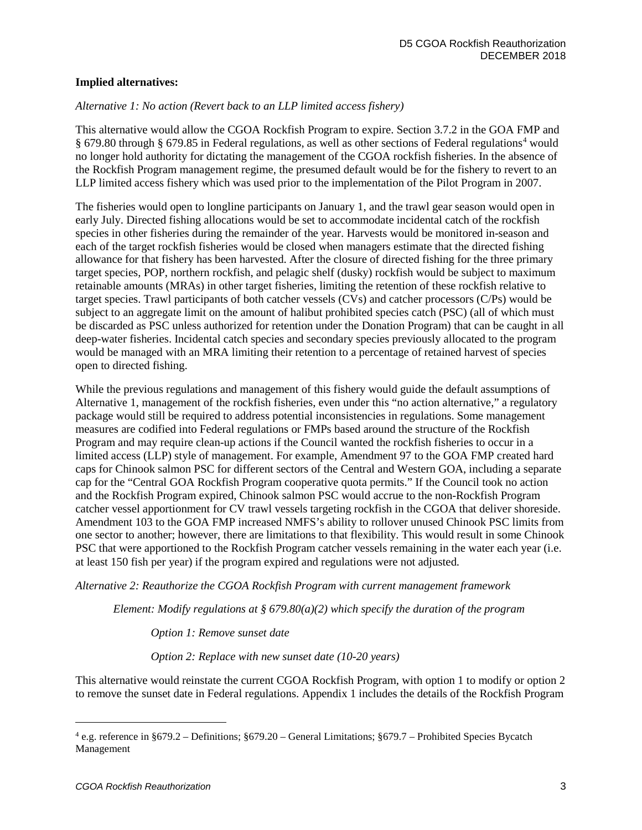#### **Implied alternatives:**

### *Alternative 1: No action (Revert back to an LLP limited access fishery)*

This alternative would allow the CGOA Rockfish Program to expire. Section 3.7.2 in the GOA FMP and § 679.80 through § 679.85 in Federal regulations, as well as other sections of Federal regulations<sup>[4](#page-2-0)</sup> would no longer hold authority for dictating the management of the CGOA rockfish fisheries. In the absence of the Rockfish Program management regime, the presumed default would be for the fishery to revert to an LLP limited access fishery which was used prior to the implementation of the Pilot Program in 2007.

The fisheries would open to longline participants on January 1, and the trawl gear season would open in early July. Directed fishing allocations would be set to accommodate incidental catch of the rockfish species in other fisheries during the remainder of the year. Harvests would be monitored in-season and each of the target rockfish fisheries would be closed when managers estimate that the directed fishing allowance for that fishery has been harvested. After the closure of directed fishing for the three primary target species, POP, northern rockfish, and pelagic shelf (dusky) rockfish would be subject to maximum retainable amounts (MRAs) in other target fisheries, limiting the retention of these rockfish relative to target species. Trawl participants of both catcher vessels (CVs) and catcher processors (C/Ps) would be subject to an aggregate limit on the amount of halibut prohibited species catch (PSC) (all of which must be discarded as PSC unless authorized for retention under the Donation Program) that can be caught in all deep-water fisheries. Incidental catch species and secondary species previously allocated to the program would be managed with an MRA limiting their retention to a percentage of retained harvest of species open to directed fishing.

While the previous regulations and management of this fishery would guide the default assumptions of Alternative 1, management of the rockfish fisheries, even under this "no action alternative," a regulatory package would still be required to address potential inconsistencies in regulations. Some management measures are codified into Federal regulations or FMPs based around the structure of the Rockfish Program and may require clean-up actions if the Council wanted the rockfish fisheries to occur in a limited access (LLP) style of management. For example, Amendment 97 to the GOA FMP created hard caps for Chinook salmon PSC for different sectors of the Central and Western GOA, including a separate cap for the "Central GOA Rockfish Program cooperative quota permits." If the Council took no action and the Rockfish Program expired, Chinook salmon PSC would accrue to the non-Rockfish Program catcher vessel apportionment for CV trawl vessels targeting rockfish in the CGOA that deliver shoreside. Amendment 103 to the GOA FMP increased NMFS's ability to rollover unused Chinook PSC limits from one sector to another; however, there are limitations to that flexibility. This would result in some Chinook PSC that were apportioned to the Rockfish Program catcher vessels remaining in the water each year (i.e. at least 150 fish per year) if the program expired and regulations were not adjusted.

*Alternative 2: Reauthorize the CGOA Rockfish Program with current management framework*

*Element: Modify regulations at § 679.80(a)(2) which specify the duration of the program*

*Option 1: Remove sunset date*

*Option 2: Replace with new sunset date (10-20 years)*

This alternative would reinstate the current CGOA Rockfish Program, with option 1 to modify or option 2 to remove the sunset date in Federal regulations. Appendix 1 includes the details of the Rockfish Program

<span id="page-2-0"></span><sup>4</sup> e.g. reference in §679.2 – Definitions; §679.20 – General Limitations; §679.7 – Prohibited Species Bycatch Management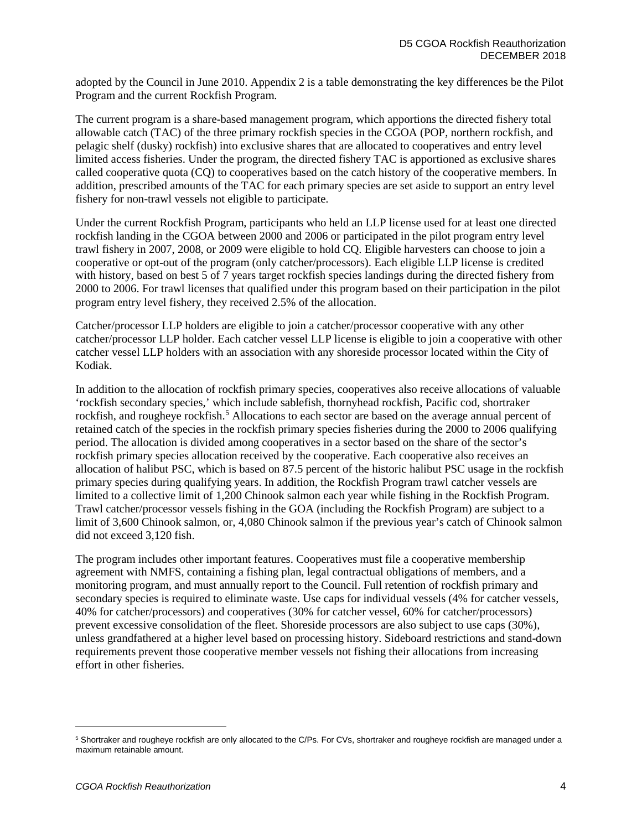adopted by the Council in June 2010. Appendix 2 is a table demonstrating the key differences be the Pilot Program and the current Rockfish Program.

The current program is a share-based management program, which apportions the directed fishery total allowable catch (TAC) of the three primary rockfish species in the CGOA (POP, northern rockfish, and pelagic shelf (dusky) rockfish) into exclusive shares that are allocated to cooperatives and entry level limited access fisheries. Under the program, the directed fishery TAC is apportioned as exclusive shares called cooperative quota (CQ) to cooperatives based on the catch history of the cooperative members. In addition, prescribed amounts of the TAC for each primary species are set aside to support an entry level fishery for non-trawl vessels not eligible to participate.

Under the current Rockfish Program, participants who held an LLP license used for at least one directed rockfish landing in the CGOA between 2000 and 2006 or participated in the pilot program entry level trawl fishery in 2007, 2008, or 2009 were eligible to hold CQ. Eligible harvesters can choose to join a cooperative or opt-out of the program (only catcher/processors). Each eligible LLP license is credited with history, based on best 5 of 7 years target rockfish species landings during the directed fishery from 2000 to 2006. For trawl licenses that qualified under this program based on their participation in the pilot program entry level fishery, they received 2.5% of the allocation.

Catcher/processor LLP holders are eligible to join a catcher/processor cooperative with any other catcher/processor LLP holder. Each catcher vessel LLP license is eligible to join a cooperative with other catcher vessel LLP holders with an association with any shoreside processor located within the City of Kodiak.

In addition to the allocation of rockfish primary species, cooperatives also receive allocations of valuable 'rockfish secondary species,' which include sablefish, thornyhead rockfish, Pacific cod, shortraker rockfish, and rougheye rockfish.<sup>[5](#page-3-0)</sup> Allocations to each sector are based on the average annual percent of retained catch of the species in the rockfish primary species fisheries during the 2000 to 2006 qualifying period. The allocation is divided among cooperatives in a sector based on the share of the sector's rockfish primary species allocation received by the cooperative. Each cooperative also receives an allocation of halibut PSC, which is based on 87.5 percent of the historic halibut PSC usage in the rockfish primary species during qualifying years. In addition, the Rockfish Program trawl catcher vessels are limited to a collective limit of 1,200 Chinook salmon each year while fishing in the Rockfish Program. Trawl catcher/processor vessels fishing in the GOA (including the Rockfish Program) are subject to a limit of 3,600 Chinook salmon, or, 4,080 Chinook salmon if the previous year's catch of Chinook salmon did not exceed 3,120 fish.

The program includes other important features. Cooperatives must file a cooperative membership agreement with NMFS, containing a fishing plan, legal contractual obligations of members, and a monitoring program, and must annually report to the Council. Full retention of rockfish primary and secondary species is required to eliminate waste. Use caps for individual vessels (4% for catcher vessels, 40% for catcher/processors) and cooperatives (30% for catcher vessel, 60% for catcher/processors) prevent excessive consolidation of the fleet. Shoreside processors are also subject to use caps (30%), unless grandfathered at a higher level based on processing history. Sideboard restrictions and stand-down requirements prevent those cooperative member vessels not fishing their allocations from increasing effort in other fisheries.

<span id="page-3-0"></span><sup>5</sup> Shortraker and rougheye rockfish are only allocated to the C/Ps. For CVs, shortraker and rougheye rockfish are managed under a maximum retainable amount.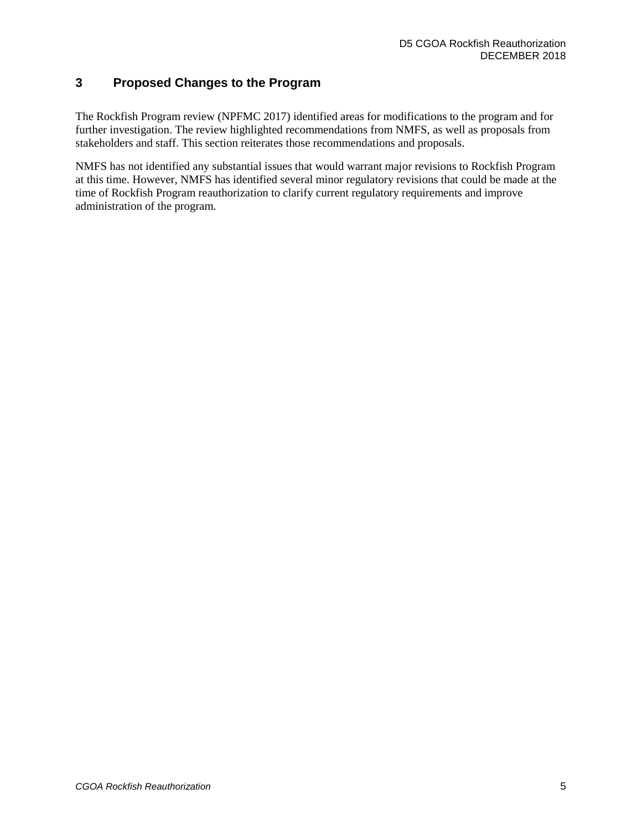## **3 Proposed Changes to the Program**

The Rockfish Program review (NPFMC 2017) identified areas for modifications to the program and for further investigation. The review highlighted recommendations from NMFS, as well as proposals from stakeholders and staff. This section reiterates those recommendations and proposals.

NMFS has not identified any substantial issues that would warrant major revisions to Rockfish Program at this time. However, NMFS has identified several minor regulatory revisions that could be made at the time of Rockfish Program reauthorization to clarify current regulatory requirements and improve administration of the program.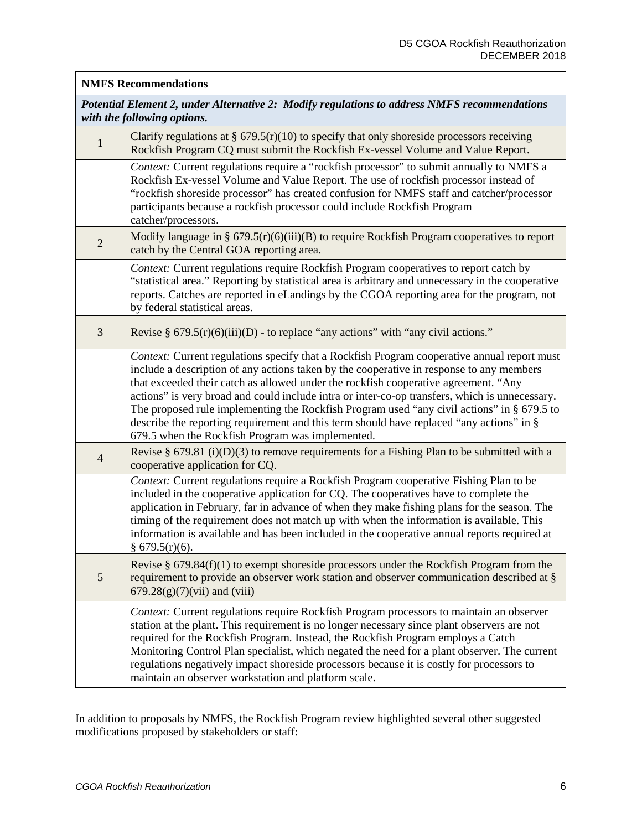#### **NMFS Recommendations**

*Potential Element 2, under Alternative 2: Modify regulations to address NMFS recommendations with the following options.*

| $\mathbf{1}$   | Clarify regulations at $\S$ 679.5(r)(10) to specify that only shoreside processors receiving<br>Rockfish Program CQ must submit the Rockfish Ex-vessel Volume and Value Report.                                                                                                                                                                                                                                                                                                                                                                                                                                                |
|----------------|--------------------------------------------------------------------------------------------------------------------------------------------------------------------------------------------------------------------------------------------------------------------------------------------------------------------------------------------------------------------------------------------------------------------------------------------------------------------------------------------------------------------------------------------------------------------------------------------------------------------------------|
|                | Context: Current regulations require a "rockfish processor" to submit annually to NMFS a<br>Rockfish Ex-vessel Volume and Value Report. The use of rockfish processor instead of<br>"rockfish shoreside processor" has created confusion for NMFS staff and catcher/processor<br>participants because a rockfish processor could include Rockfish Program<br>catcher/processors.                                                                                                                                                                                                                                               |
| $\sqrt{2}$     | Modify language in § $679.5(r)(6)(iii)(B)$ to require Rockfish Program cooperatives to report<br>catch by the Central GOA reporting area.                                                                                                                                                                                                                                                                                                                                                                                                                                                                                      |
|                | Context: Current regulations require Rockfish Program cooperatives to report catch by<br>"statistical area." Reporting by statistical area is arbitrary and unnecessary in the cooperative<br>reports. Catches are reported in eLandings by the CGOA reporting area for the program, not<br>by federal statistical areas.                                                                                                                                                                                                                                                                                                      |
| 3              | Revise § $679.5(r)(6)(iii)(D)$ - to replace "any actions" with "any civil actions."                                                                                                                                                                                                                                                                                                                                                                                                                                                                                                                                            |
|                | Context: Current regulations specify that a Rockfish Program cooperative annual report must<br>include a description of any actions taken by the cooperative in response to any members<br>that exceeded their catch as allowed under the rockfish cooperative agreement. "Any<br>actions" is very broad and could include intra or inter-co-op transfers, which is unnecessary.<br>The proposed rule implementing the Rockfish Program used "any civil actions" in § 679.5 to<br>describe the reporting requirement and this term should have replaced "any actions" in §<br>679.5 when the Rockfish Program was implemented. |
| $\overline{4}$ | Revise § 679.81 (i)(D)(3) to remove requirements for a Fishing Plan to be submitted with a<br>cooperative application for CQ.                                                                                                                                                                                                                                                                                                                                                                                                                                                                                                  |
|                | Context: Current regulations require a Rockfish Program cooperative Fishing Plan to be<br>included in the cooperative application for CQ. The cooperatives have to complete the<br>application in February, far in advance of when they make fishing plans for the season. The<br>timing of the requirement does not match up with when the information is available. This<br>information is available and has been included in the cooperative annual reports required at<br>§ $679.5(r)(6)$ .                                                                                                                                |
| 5              | Revise § 679.84(f)(1) to exempt shoreside processors under the Rockfish Program from the<br>requirement to provide an observer work station and observer communication described at $\S$<br>$679.28(g)(7)(vii)$ and (viii)                                                                                                                                                                                                                                                                                                                                                                                                     |
|                | Context: Current regulations require Rockfish Program processors to maintain an observer<br>station at the plant. This requirement is no longer necessary since plant observers are not<br>required for the Rockfish Program. Instead, the Rockfish Program employs a Catch<br>Monitoring Control Plan specialist, which negated the need for a plant observer. The current<br>regulations negatively impact shoreside processors because it is costly for processors to<br>maintain an observer workstation and platform scale.                                                                                               |

In addition to proposals by NMFS, the Rockfish Program review highlighted several other suggested modifications proposed by stakeholders or staff: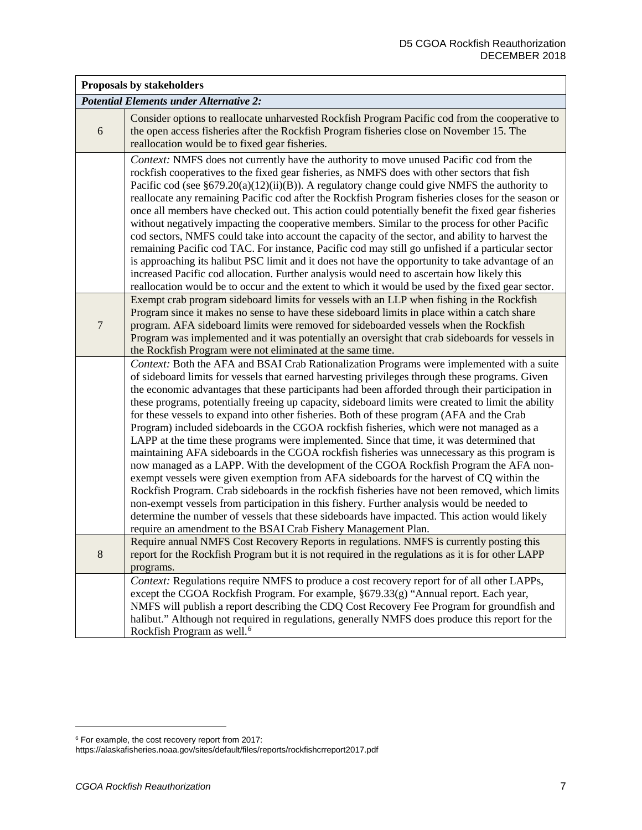| Proposals by stakeholders                      |                                                                                                                                                                                                                                                                                                                                                                                                                                                                                                                                                                                                                                                                                                                                                                                                                                                                                                                                                                                                                                                                                                                                                                                                                                                                                                                                                         |  |
|------------------------------------------------|---------------------------------------------------------------------------------------------------------------------------------------------------------------------------------------------------------------------------------------------------------------------------------------------------------------------------------------------------------------------------------------------------------------------------------------------------------------------------------------------------------------------------------------------------------------------------------------------------------------------------------------------------------------------------------------------------------------------------------------------------------------------------------------------------------------------------------------------------------------------------------------------------------------------------------------------------------------------------------------------------------------------------------------------------------------------------------------------------------------------------------------------------------------------------------------------------------------------------------------------------------------------------------------------------------------------------------------------------------|--|
| <b>Potential Elements under Alternative 2:</b> |                                                                                                                                                                                                                                                                                                                                                                                                                                                                                                                                                                                                                                                                                                                                                                                                                                                                                                                                                                                                                                                                                                                                                                                                                                                                                                                                                         |  |
| 6                                              | Consider options to reallocate unharvested Rockfish Program Pacific cod from the cooperative to<br>the open access fisheries after the Rockfish Program fisheries close on November 15. The<br>reallocation would be to fixed gear fisheries.                                                                                                                                                                                                                                                                                                                                                                                                                                                                                                                                                                                                                                                                                                                                                                                                                                                                                                                                                                                                                                                                                                           |  |
|                                                | Context: NMFS does not currently have the authority to move unused Pacific cod from the<br>rockfish cooperatives to the fixed gear fisheries, as NMFS does with other sectors that fish<br>Pacific cod (see $\S679.20(a)(12)(ii)(B)$ ). A regulatory change could give NMFS the authority to<br>reallocate any remaining Pacific cod after the Rockfish Program fisheries closes for the season or<br>once all members have checked out. This action could potentially benefit the fixed gear fisheries<br>without negatively impacting the cooperative members. Similar to the process for other Pacific<br>cod sectors, NMFS could take into account the capacity of the sector, and ability to harvest the<br>remaining Pacific cod TAC. For instance, Pacific cod may still go unfished if a particular sector<br>is approaching its halibut PSC limit and it does not have the opportunity to take advantage of an<br>increased Pacific cod allocation. Further analysis would need to ascertain how likely this<br>reallocation would be to occur and the extent to which it would be used by the fixed gear sector.                                                                                                                                                                                                                              |  |
| $\overline{7}$                                 | Exempt crab program sideboard limits for vessels with an LLP when fishing in the Rockfish<br>Program since it makes no sense to have these sideboard limits in place within a catch share<br>program. AFA sideboard limits were removed for sideboarded vessels when the Rockfish<br>Program was implemented and it was potentially an oversight that crab sideboards for vessels in<br>the Rockfish Program were not eliminated at the same time.                                                                                                                                                                                                                                                                                                                                                                                                                                                                                                                                                                                                                                                                                                                                                                                                                                                                                                      |  |
|                                                | Context: Both the AFA and BSAI Crab Rationalization Programs were implemented with a suite<br>of sideboard limits for vessels that earned harvesting privileges through these programs. Given<br>the economic advantages that these participants had been afforded through their participation in<br>these programs, potentially freeing up capacity, sideboard limits were created to limit the ability<br>for these vessels to expand into other fisheries. Both of these program (AFA and the Crab<br>Program) included sideboards in the CGOA rockfish fisheries, which were not managed as a<br>LAPP at the time these programs were implemented. Since that time, it was determined that<br>maintaining AFA sideboards in the CGOA rockfish fisheries was unnecessary as this program is<br>now managed as a LAPP. With the development of the CGOA Rockfish Program the AFA non-<br>exempt vessels were given exemption from AFA sideboards for the harvest of CQ within the<br>Rockfish Program. Crab sideboards in the rockfish fisheries have not been removed, which limits<br>non-exempt vessels from participation in this fishery. Further analysis would be needed to<br>determine the number of vessels that these sideboards have impacted. This action would likely<br>require an amendment to the BSAI Crab Fishery Management Plan. |  |
| $\,8\,$                                        | Require annual NMFS Cost Recovery Reports in regulations. NMFS is currently posting this<br>report for the Rockfish Program but it is not required in the regulations as it is for other LAPP<br>programs.                                                                                                                                                                                                                                                                                                                                                                                                                                                                                                                                                                                                                                                                                                                                                                                                                                                                                                                                                                                                                                                                                                                                              |  |
|                                                | Context: Regulations require NMFS to produce a cost recovery report for of all other LAPPs,<br>except the CGOA Rockfish Program. For example, §679.33(g) "Annual report. Each year,<br>NMFS will publish a report describing the CDQ Cost Recovery Fee Program for groundfish and<br>halibut." Although not required in regulations, generally NMFS does produce this report for the<br>Rockfish Program as well. <sup>6</sup>                                                                                                                                                                                                                                                                                                                                                                                                                                                                                                                                                                                                                                                                                                                                                                                                                                                                                                                          |  |

<span id="page-6-0"></span> $6$  For example, the cost recovery report from 2017:

https://alaskafisheries.noaa.gov/sites/default/files/reports/rockfishcrreport2017.pdf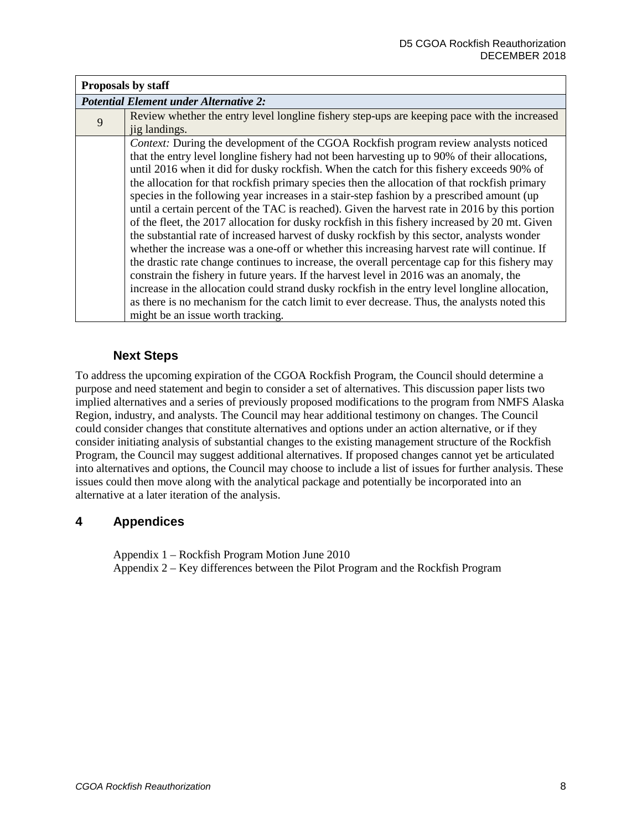| Proposals by staff                            |                                                                                                                                                                                                                                                                                                                                                                                                                                                                                                                                                                                                                                                                                                                                                                                                                                                                                                                                                                                                                                                                                                                                                                                                                                                                                                                          |  |
|-----------------------------------------------|--------------------------------------------------------------------------------------------------------------------------------------------------------------------------------------------------------------------------------------------------------------------------------------------------------------------------------------------------------------------------------------------------------------------------------------------------------------------------------------------------------------------------------------------------------------------------------------------------------------------------------------------------------------------------------------------------------------------------------------------------------------------------------------------------------------------------------------------------------------------------------------------------------------------------------------------------------------------------------------------------------------------------------------------------------------------------------------------------------------------------------------------------------------------------------------------------------------------------------------------------------------------------------------------------------------------------|--|
| <b>Potential Element under Alternative 2:</b> |                                                                                                                                                                                                                                                                                                                                                                                                                                                                                                                                                                                                                                                                                                                                                                                                                                                                                                                                                                                                                                                                                                                                                                                                                                                                                                                          |  |
| 9                                             | Review whether the entry level longline fishery step-ups are keeping pace with the increased<br>jig landings.                                                                                                                                                                                                                                                                                                                                                                                                                                                                                                                                                                                                                                                                                                                                                                                                                                                                                                                                                                                                                                                                                                                                                                                                            |  |
|                                               | Context: During the development of the CGOA Rockfish program review analysts noticed<br>that the entry level longline fishery had not been harvesting up to 90% of their allocations,<br>until 2016 when it did for dusky rockfish. When the catch for this fishery exceeds 90% of<br>the allocation for that rockfish primary species then the allocation of that rockfish primary<br>species in the following year increases in a stair-step fashion by a prescribed amount (up<br>until a certain percent of the TAC is reached). Given the harvest rate in 2016 by this portion<br>of the fleet, the 2017 allocation for dusky rockfish in this fishery increased by 20 mt. Given<br>the substantial rate of increased harvest of dusky rockfish by this sector, analysts wonder<br>whether the increase was a one-off or whether this increasing harvest rate will continue. If<br>the drastic rate change continues to increase, the overall percentage cap for this fishery may<br>constrain the fishery in future years. If the harvest level in 2016 was an anomaly, the<br>increase in the allocation could strand dusky rockfish in the entry level longline allocation,<br>as there is no mechanism for the catch limit to ever decrease. Thus, the analysts noted this<br>might be an issue worth tracking. |  |

## **Next Steps**

To address the upcoming expiration of the CGOA Rockfish Program, the Council should determine a purpose and need statement and begin to consider a set of alternatives. This discussion paper lists two implied alternatives and a series of previously proposed modifications to the program from NMFS Alaska Region, industry, and analysts. The Council may hear additional testimony on changes. The Council could consider changes that constitute alternatives and options under an action alternative, or if they consider initiating analysis of substantial changes to the existing management structure of the Rockfish Program, the Council may suggest additional alternatives. If proposed changes cannot yet be articulated into alternatives and options, the Council may choose to include a list of issues for further analysis. These issues could then move along with the analytical package and potentially be incorporated into an alternative at a later iteration of the analysis.

## **4 Appendices**

Appendix 1 – Rockfish Program Motion June 2010 Appendix 2 – Key differences between the Pilot Program and the Rockfish Program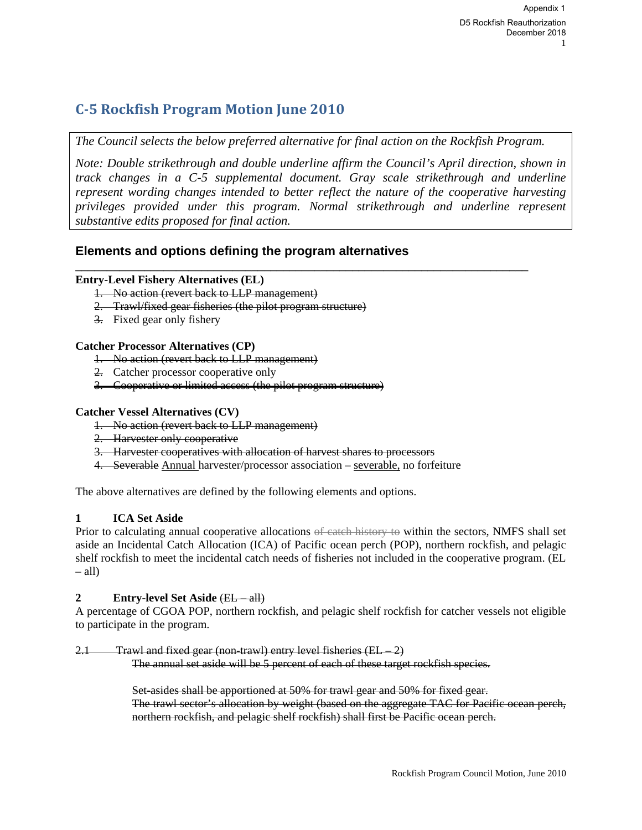# **C‐5 Rockfish Program Motion June 2010**

*The Council selects the below preferred alternative for final action on the Rockfish Program.* 

**\_\_\_\_\_\_\_\_\_\_\_\_\_\_\_\_\_\_\_\_\_\_\_\_\_\_\_\_\_\_\_\_\_\_\_\_\_\_\_\_\_\_\_\_\_\_\_\_\_\_\_\_\_\_\_\_\_\_\_\_\_\_\_\_\_\_\_\_\_\_\_\_** 

*Note: Double strikethrough and double underline affirm the Council's April direction, shown in track changes in a C-5 supplemental document. Gray scale strikethrough and underline represent wording changes intended to better reflect the nature of the cooperative harvesting privileges provided under this program. Normal strikethrough and underline represent substantive edits proposed for final action.* 

## **Elements and options defining the program alternatives**

## **Entry-Level Fishery Alternatives (EL)**

- 1. No action (revert back to LLP management)
- 2. Trawl/fixed gear fisheries (the pilot program structure)
- 3. Fixed gear only fishery

## **Catcher Processor Alternatives (CP)**

- 1. No action (revert back to LLP management)
- 2. Catcher processor cooperative only
- 3. Cooperative or limited access (the pilot program structure)

## **Catcher Vessel Alternatives (CV)**

- 1. No action (revert back to LLP management)
- 2. Harvester only cooperative
- 3. Harvester cooperatives with allocation of harvest shares to processors
- 4. Severable Annual harvester/processor association severable, no forfeiture

The above alternatives are defined by the following elements and options.

## **1 ICA Set Aside**

Prior to calculating annual cooperative allocations of eatch history to within the sectors, NMFS shall set aside an Incidental Catch Allocation (ICA) of Pacific ocean perch (POP), northern rockfish, and pelagic shelf rockfish to meet the incidental catch needs of fisheries not included in the cooperative program. (EL  $-$  all)

### **2** Entry-level Set Aside (EL – all)

A percentage of CGOA POP, northern rockfish, and pelagic shelf rockfish for catcher vessels not eligible to participate in the program.

## Trawl and fixed gear (non-trawl) entry level fisheries (EL – 2)

The annual set aside will be 5 percent of each of these target rockfish species.

Set-asides shall be apportioned at 50% for trawl gear and 50% for fixed gear. The trawl sector's allocation by weight (based on the aggregate TAC for Pacific ocean perch, northern rockfish, and pelagic shelf rockfish) shall first be Pacific ocean perch.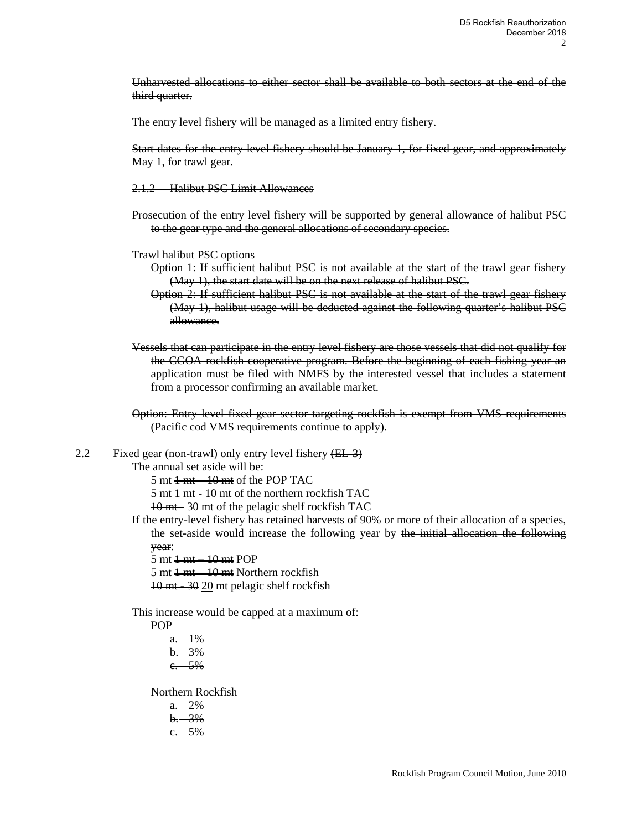Unharvested allocations to either sector shall be available to both sectors at the end of the third quarter.

The entry level fishery will be managed as a limited entry fishery.

Start dates for the entry level fishery should be January 1, for fixed gear, and approximately May 1, for trawl gear.

- 2.1.2 Halibut PSC Limit Allowances
- Prosecution of the entry level fishery will be supported by general allowance of halibut PSC to the gear type and the general allocations of secondary species.
- Trawl halibut PSC options
	- Option 1: If sufficient halibut PSC is not available at the start of the trawl gear fishery (May 1), the start date will be on the next release of halibut PSC.
	- Option 2: If sufficient halibut PSC is not available at the start of the trawl gear fishery (May 1), halibut usage will be deducted against the following quarter's halibut PSC allowance.
- Vessels that can participate in the entry level fishery are those vessels that did not qualify for the CGOA rockfish cooperative program. Before the beginning of each fishing year an application must be filed with NMFS by the interested vessel that includes a statement from a processor confirming an available market.
- Option: Entry level fixed gear sector targeting rockfish is exempt from VMS requirements (Pacific cod VMS requirements continue to apply).
- 2.2 Fixed gear (non-trawl) only entry level fishery  $(EL-3)$

The annual set aside will be:

- $5 \text{ mt} + \text{mt} 10 \text{ mt}$  of the POP TAC
- 5 mt  $\frac{1}{2}$  mt  $\frac{-10}{2}$  mt of the northern rockfish TAC

10 mt - 30 mt of the pelagic shelf rockfish TAC

- If the entry-level fishery has retained harvests of 90% or more of their allocation of a species, the set-aside would increase the following year by the initial allocation the following year:
	- $5 \text{ mt} + \text{mt} 10 \text{ mt}$  POP
	- 5 mt  $\frac{1}{1}$  mt  $\frac{-10}{10}$  mt Northern rockfish
	- 10 mt 30 20 mt pelagic shelf rockfish

This increase would be capped at a maximum of:

POP

a. 1%  $b. 3%$ c. 5%

Northern Rockfish a. 2%  $b. 3%$ c. 5%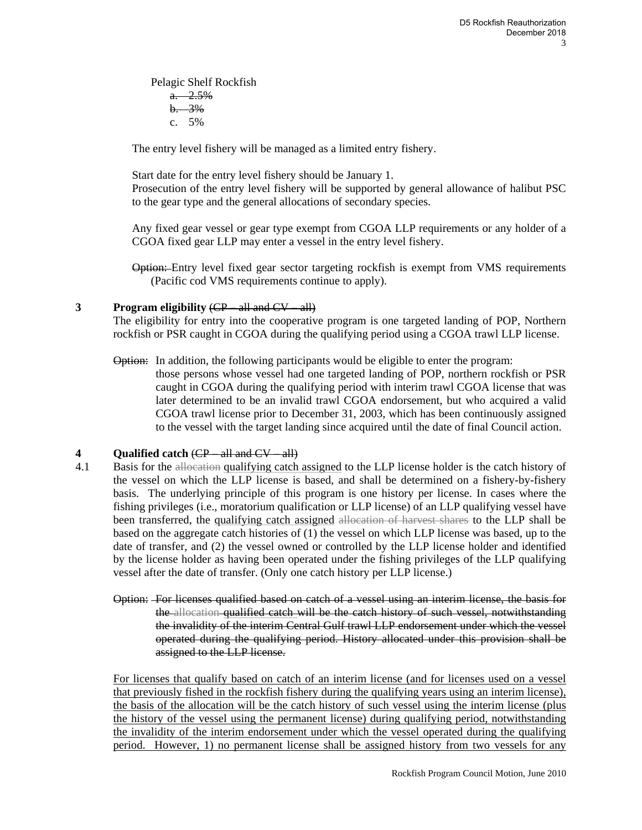Pelagic Shelf Rockfish  $a. 2.5%$  $b. 3%$ c. 5%

The entry level fishery will be managed as a limited entry fishery.

Start date for the entry level fishery should be January 1. Prosecution of the entry level fishery will be supported by general allowance of halibut PSC to the gear type and the general allocations of secondary species.

Any fixed gear vessel or gear type exempt from CGOA LLP requirements or any holder of a CGOA fixed gear LLP may enter a vessel in the entry level fishery.

**Option:** Entry level fixed gear sector targeting rockfish is exempt from VMS requirements (Pacific cod VMS requirements continue to apply).

### **3 Program eligibility** (CP – all and CV – all)

The eligibility for entry into the cooperative program is one targeted landing of POP, Northern rockfish or PSR caught in CGOA during the qualifying period using a CGOA trawl LLP license.

### Option: In addition, the following participants would be eligible to enter the program:

those persons whose vessel had one targeted landing of POP, northern rockfish or PSR caught in CGOA during the qualifying period with interim trawl CGOA license that was later determined to be an invalid trawl CGOA endorsement, but who acquired a valid CGOA trawl license prior to December 31, 2003, which has been continuously assigned to the vessel with the target landing since acquired until the date of final Council action.

### **4 Qualified catch** (CP – all and CV – all)

- 4.1 Basis for the allocation qualifying catch assigned to the LLP license holder is the catch history of the vessel on which the LLP license is based, and shall be determined on a fishery-by-fishery basis. The underlying principle of this program is one history per license. In cases where the fishing privileges (i.e., moratorium qualification or LLP license) of an LLP qualifying vessel have been transferred, the qualifying catch assigned allocation of harvest shares to the LLP shall be based on the aggregate catch histories of (1) the vessel on which LLP license was based, up to the date of transfer, and (2) the vessel owned or controlled by the LLP license holder and identified by the license holder as having been operated under the fishing privileges of the LLP qualifying vessel after the date of transfer. (Only one catch history per LLP license.)
	- Option: For licenses qualified based on catch of a vessel using an interim license, the basis for the allocation qualified catch will be the catch history of such vessel, notwithstanding the invalidity of the interim Central Gulf trawl LLP endorsement under which the vessel operated during the qualifying period. History allocated under this provision shall be assigned to the LLP license.

For licenses that qualify based on catch of an interim license (and for licenses used on a vessel that previously fished in the rockfish fishery during the qualifying years using an interim license), the basis of the allocation will be the catch history of such vessel using the interim license (plus the history of the vessel using the permanent license) during qualifying period, notwithstanding the invalidity of the interim endorsement under which the vessel operated during the qualifying period. However, 1) no permanent license shall be assigned history from two vessels for any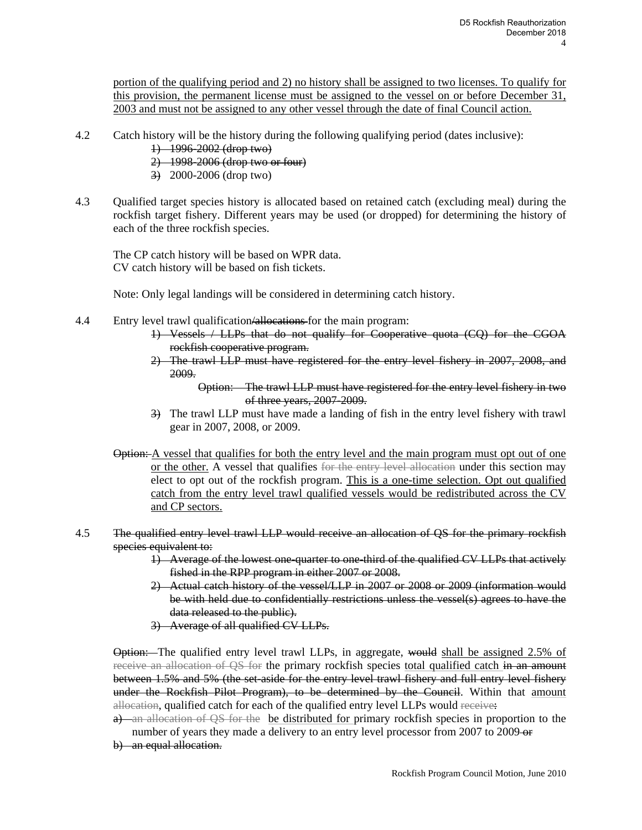portion of the qualifying period and 2) no history shall be assigned to two licenses. To qualify for this provision, the permanent license must be assigned to the vessel on or before December 31, 2003 and must not be assigned to any other vessel through the date of final Council action.

- 4.2 Catch history will be the history during the following qualifying period (dates inclusive):
	- 1) 1996-2002 (drop two)
		- 2) 1998-2006 (drop two or four)
		- 3) 2000-2006 (drop two)
- 4.3 Qualified target species history is allocated based on retained catch (excluding meal) during the rockfish target fishery. Different years may be used (or dropped) for determining the history of each of the three rockfish species.

The CP catch history will be based on WPR data. CV catch history will be based on fish tickets.

Note: Only legal landings will be considered in determining catch history.

- 4.4 Entry level trawl qualification/allocations for the main program:
	- 1) Vessels / LLPs that do not qualify for Cooperative quota (CQ) for the CGOA rockfish cooperative program.
	- 2) The trawl LLP must have registered for the entry level fishery in 2007, 2008, and 2009.

Option: The trawl LLP must have registered for the entry level fishery in two of three years, 2007-2009.

- 3) The trawl LLP must have made a landing of fish in the entry level fishery with trawl gear in 2007, 2008, or 2009.
- **Option:** A vessel that qualifies for both the entry level and the main program must opt out of one or the other. A vessel that qualifies for the entry level allocation under this section may elect to opt out of the rockfish program. This is a one-time selection. Opt out qualified catch from the entry level trawl qualified vessels would be redistributed across the CV and CP sectors.
- 4.5 The qualified entry level trawl LLP would receive an allocation of QS for the primary rockfish species equivalent to:
	- 1) Average of the lowest one-quarter to one-third of the qualified CV LLPs that actively fished in the RPP program in either 2007 or 2008.
	- 2) Actual catch history of the vessel/LLP in 2007 or 2008 or 2009 (information would be with held due to confidentially restrictions unless the vessel(s) agrees to have the data released to the public).
	- 3) Average of all qualified CV LLPs.

Option: The qualified entry level trawl LLPs, in aggregate, would shall be assigned 2.5% of receive an allocation of QS for the primary rockfish species total qualified catch in an amount between 1.5% and 5% (the set-aside for the entry level trawl fishery and full entry level fishery under the Rockfish Pilot Program), to be determined by the Council. Within that amount allocation, qualified catch for each of the qualified entry level LLPs would receive:

- a) an allocation of QS for the be distributed for primary rockfish species in proportion to the number of years they made a delivery to an entry level processor from 2007 to 2009-or
- b) an equal allocation.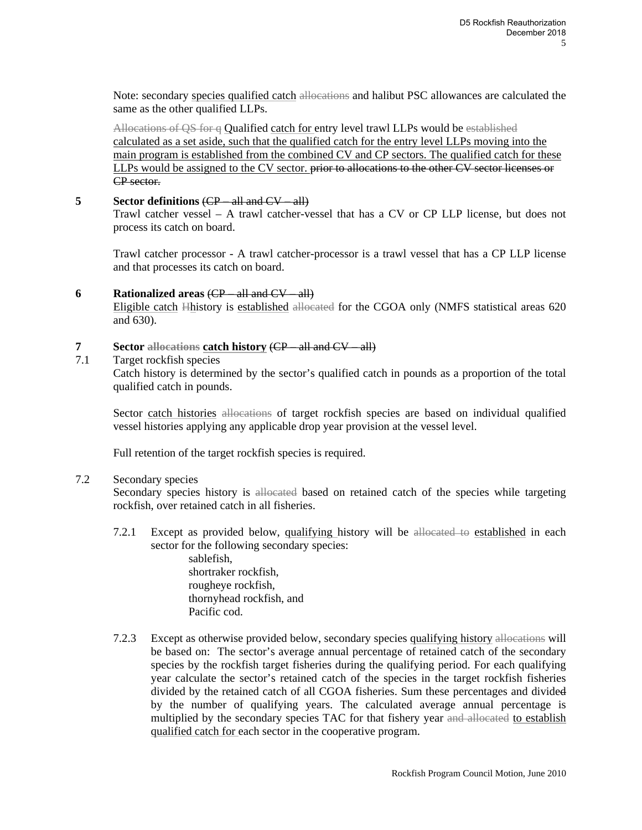Note: secondary species qualified catch allocations and halibut PSC allowances are calculated the same as the other qualified LLPs.

Allocations of QS for q Qualified catch for entry level trawl LLPs would be established calculated as a set aside, such that the qualified catch for the entry level LLPs moving into the main program is established from the combined CV and CP sectors. The qualified catch for these LLPs would be assigned to the CV sector. prior to allocations to the other CV sector licenses or CP sector.

#### **5 Sector definitions** (CP – all and CV – all)

Trawl catcher vessel – A trawl catcher-vessel that has a CV or CP LLP license, but does not process its catch on board.

Trawl catcher processor - A trawl catcher-processor is a trawl vessel that has a CP LLP license and that processes its catch on board.

#### **6 Rationalized areas** (CP – all and CV – all)

Eligible catch Hhistory is established allocated for the CGOA only (NMFS statistical areas 620 and 630).

#### **7 Sector allocations catch history** (CP – all and CV – all)

7.1 Target rockfish species

Catch history is determined by the sector's qualified catch in pounds as a proportion of the total qualified catch in pounds.

Sector catch histories allocations of target rockfish species are based on individual qualified vessel histories applying any applicable drop year provision at the vessel level.

Full retention of the target rockfish species is required.

#### 7.2 Secondary species

Secondary species history is allocated based on retained catch of the species while targeting rockfish, over retained catch in all fisheries.

7.2.1 Except as provided below, qualifying history will be allocated to established in each sector for the following secondary species:

> sablefish, shortraker rockfish, rougheye rockfish, thornyhead rockfish, and Pacific cod.

7.2.3 Except as otherwise provided below, secondary species qualifying history allocations will be based on: The sector's average annual percentage of retained catch of the secondary species by the rockfish target fisheries during the qualifying period. For each qualifying year calculate the sector's retained catch of the species in the target rockfish fisheries divided by the retained catch of all CGOA fisheries. Sum these percentages and divided by the number of qualifying years. The calculated average annual percentage is multiplied by the secondary species TAC for that fishery year and allocated to establish qualified catch for each sector in the cooperative program.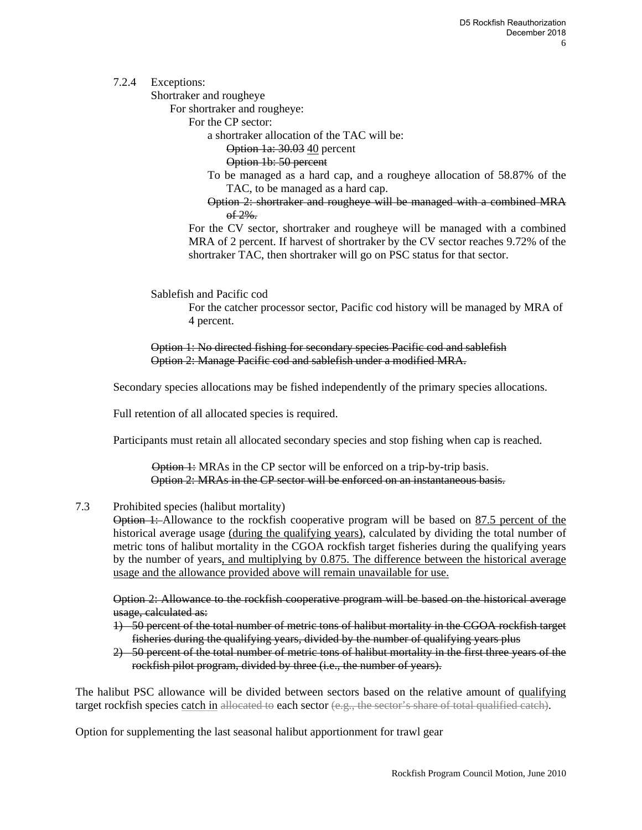## 7.2.4 Exceptions:

Shortraker and rougheye

For shortraker and rougheye:

For the CP sector:

a shortraker allocation of the TAC will be:

Option 1a: 30.03 40 percent

Option 1b: 50 percent

- To be managed as a hard cap, and a rougheye allocation of 58.87% of the TAC, to be managed as a hard cap.
- Option 2: shortraker and rougheye will be managed with a combined MRA  $of 2\%$ .

For the CV sector, shortraker and rougheye will be managed with a combined MRA of 2 percent. If harvest of shortraker by the CV sector reaches 9.72% of the shortraker TAC, then shortraker will go on PSC status for that sector.

Sablefish and Pacific cod

For the catcher processor sector, Pacific cod history will be managed by MRA of 4 percent.

Option 1: No directed fishing for secondary species Pacific cod and sablefish Option 2: Manage Pacific cod and sablefish under a modified MRA.

Secondary species allocations may be fished independently of the primary species allocations.

Full retention of all allocated species is required.

Participants must retain all allocated secondary species and stop fishing when cap is reached.

Option 1: MRAs in the CP sector will be enforced on a trip-by-trip basis. Option 2: MRAs in the CP sector will be enforced on an instantaneous basis.

7.3 Prohibited species (halibut mortality)

Option 1: Allowance to the rockfish cooperative program will be based on 87.5 percent of the historical average usage (during the qualifying years), calculated by dividing the total number of metric tons of halibut mortality in the CGOA rockfish target fisheries during the qualifying years by the number of years, and multiplying by 0.875. The difference between the historical average usage and the allowance provided above will remain unavailable for use.

Option 2: Allowance to the rockfish cooperative program will be based on the historical average usage, calculated as:

- 1) 50 percent of the total number of metric tons of halibut mortality in the CGOA rockfish target fisheries during the qualifying years, divided by the number of qualifying years plus
- 2) 50 percent of the total number of metric tons of halibut mortality in the first three years of the rockfish pilot program, divided by three (i.e., the number of years).

The halibut PSC allowance will be divided between sectors based on the relative amount of qualifying target rockfish species catch in allocated to each sector (e.g., the sector's share of total qualified catch).

Option for supplementing the last seasonal halibut apportionment for trawl gear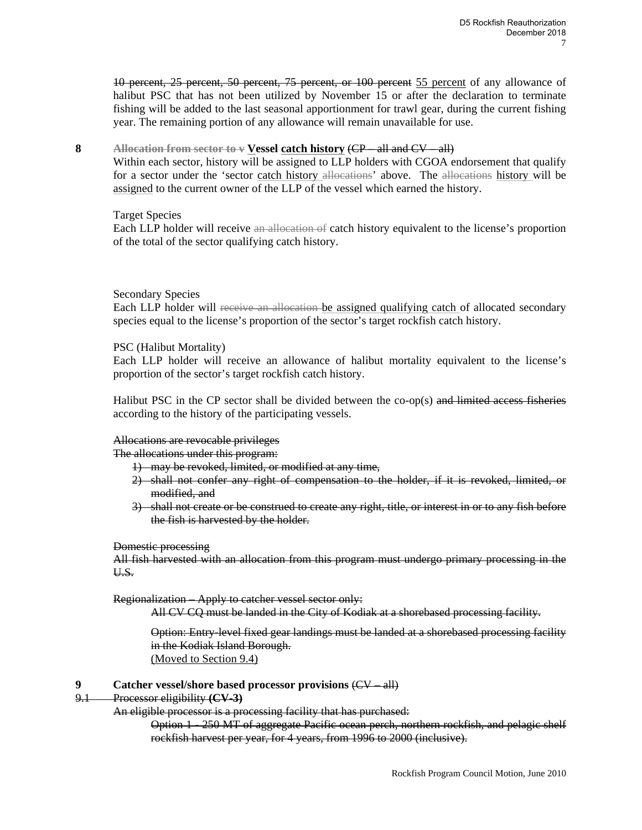10 percent, 25 percent, 50 percent, 75 percent, or 100 percent 55 percent of any allowance of halibut PSC that has not been utilized by November 15 or after the declaration to terminate fishing will be added to the last seasonal apportionment for trawl gear, during the current fishing year. The remaining portion of any allowance will remain unavailable for use.

#### **8 Allocation from sector to v Vessel catch history** (CP – all and CV – all)

Within each sector, history will be assigned to LLP holders with CGOA endorsement that qualify for a sector under the 'sector catch history allocations' above. The allocations history will be assigned to the current owner of the LLP of the vessel which earned the history.

#### Target Species

Each LLP holder will receive an allocation of catch history equivalent to the license's proportion of the total of the sector qualifying catch history.

#### Secondary Species

Each LLP holder will receive an allocation be assigned qualifying catch of allocated secondary species equal to the license's proportion of the sector's target rockfish catch history.

#### PSC (Halibut Mortality)

Each LLP holder will receive an allowance of halibut mortality equivalent to the license's proportion of the sector's target rockfish catch history.

Halibut PSC in the CP sector shall be divided between the co-op(s) and limited access fisheries according to the history of the participating vessels.

#### Allocations are revocable privileges

The allocations under this program:

- 1) may be revoked, limited, or modified at any time,
- 2) shall not confer any right of compensation to the holder, if it is revoked, limited, or modified, and
- 3) shall not create or be construed to create any right, title, or interest in or to any fish before the fish is harvested by the holder.

#### Domestic processing

All fish harvested with an allocation from this program must undergo primary processing in the U.S.

#### Regionalization – Apply to catcher vessel sector only:

All CV CQ must be landed in the City of Kodiak at a shorebased processing facility.

Option: Entry-level fixed gear landings must be landed at a shorebased processing facility in the Kodiak Island Borough. (Moved to Section 9.4)

#### **9 Catcher vessel/shore based processor provisions** (CV – all)

- 9.1 Processor eligibility **(CV-3)** 
	- An eligible processor is a processing facility that has purchased:
		- Option 1 250 MT of aggregate Pacific ocean perch, northern rockfish, and pelagic shelf rockfish harvest per year, for 4 years, from 1996 to 2000 (inclusive).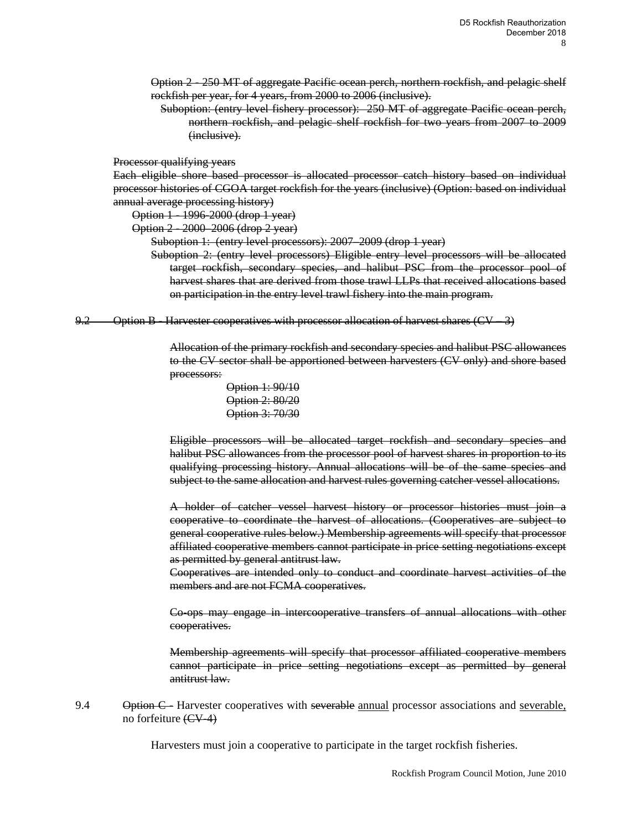Option 2 - 250 MT of aggregate Pacific ocean perch, northern rockfish, and pelagic shelf rockfish per year, for 4 years, from 2000 to 2006 (inclusive).

Suboption: (entry level fishery processor): 250 MT of aggregate Pacific ocean perch, northern rockfish, and pelagic shelf rockfish for two years from 2007 to 2009 (inclusive).

Processor qualifying years

Each eligible shore based processor is allocated processor catch history based on individual processor histories of CGOA target rockfish for the years (inclusive) (Option: based on individual annual average processing history)

Option 1 - 1996-2000 (drop 1 year)

Option 2 - 2000–2006 (drop 2 year)

Suboption 1: (entry level processors): 2007–2009 (drop 1 year)

Suboption 2: (entry level processors) Eligible entry level processors will be allocated target rockfish, secondary species, and halibut PSC from the processor pool of harvest shares that are derived from those trawl LLPs that received allocations based on participation in the entry level trawl fishery into the main program.

9.2 Option B - Harvester cooperatives with processor allocation of harvest shares (CV - 3)

Allocation of the primary rockfish and secondary species and halibut PSC allowances to the CV sector shall be apportioned between harvesters (CV only) and shore based processors:

> Option 1: 90/10 Option 2: 80/20 Option 3: 70/30

Eligible processors will be allocated target rockfish and secondary species and halibut PSC allowances from the processor pool of harvest shares in proportion to its qualifying processing history. Annual allocations will be of the same species and subject to the same allocation and harvest rules governing catcher vessel allocations.

A holder of catcher vessel harvest history or processor histories must join a cooperative to coordinate the harvest of allocations. (Cooperatives are subject to general cooperative rules below.) Membership agreements will specify that processor affiliated cooperative members cannot participate in price setting negotiations except as permitted by general antitrust law.

Cooperatives are intended only to conduct and coordinate harvest activities of the members and are not FCMA cooperatives.

Co-ops may engage in intercooperative transfers of annual allocations with other cooperatives.

Membership agreements will specify that processor affiliated cooperative members cannot participate in price setting negotiations except as permitted by general antitrust law.

9.4 Option C - Harvester cooperatives with severable annual processor associations and severable, no forfeiture  $(\text{CV-4})$ 

Harvesters must join a cooperative to participate in the target rockfish fisheries.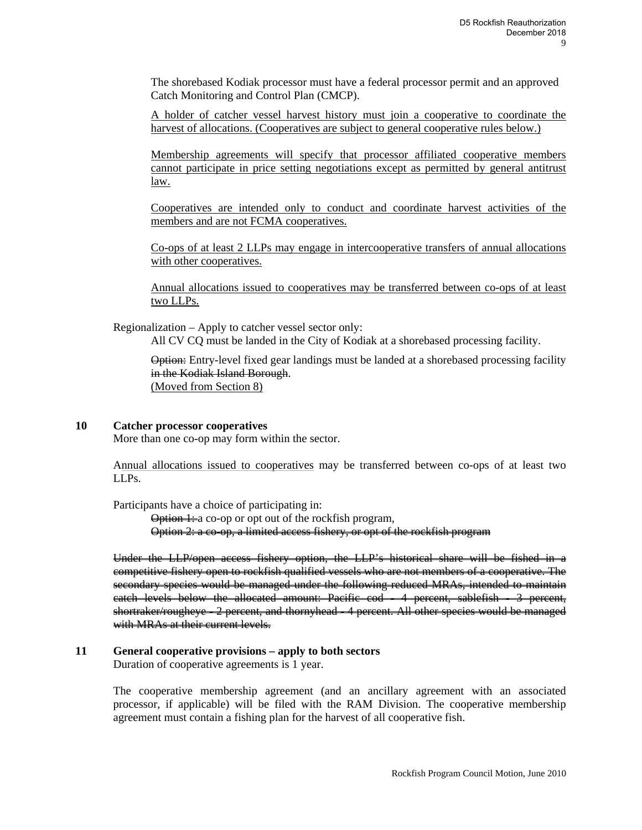The shorebased Kodiak processor must have a federal processor permit and an approved Catch Monitoring and Control Plan (CMCP).

A holder of catcher vessel harvest history must join a cooperative to coordinate the harvest of allocations. (Cooperatives are subject to general cooperative rules below.)

Membership agreements will specify that processor affiliated cooperative members cannot participate in price setting negotiations except as permitted by general antitrust law.

Cooperatives are intended only to conduct and coordinate harvest activities of the members and are not FCMA cooperatives.

Co-ops of at least 2 LLPs may engage in intercooperative transfers of annual allocations with other cooperatives.

Annual allocations issued to cooperatives may be transferred between co-ops of at least two LLPs.

Regionalization – Apply to catcher vessel sector only: All CV CQ must be landed in the City of Kodiak at a shorebased processing facility.

Option: Entry-level fixed gear landings must be landed at a shorebased processing facility in the Kodiak Island Borough. (Moved from Section 8)

#### **10 Catcher processor cooperatives**

More than one co-op may form within the sector.

Annual allocations issued to cooperatives may be transferred between co-ops of at least two LLPs.

Participants have a choice of participating in:

Option 1: a co-op or opt out of the rockfish program, Option 2: a co-op, a limited access fishery, or opt of the rockfish program

Under the LLP/open access fishery option, the LLP's historical share will be fished in a competitive fishery open to rockfish qualified vessels who are not members of a cooperative. The secondary species would be managed under the following reduced MRAs, intended to maintain catch levels below the allocated amount: Pacific cod - 4 percent, sablefish - 3 percent, shortraker/rougheye - 2 percent, and thornyhead - 4 percent. All other species would be managed with MRAs at their current levels.

#### **11 General cooperative provisions – apply to both sectors**  Duration of cooperative agreements is 1 year.

The cooperative membership agreement (and an ancillary agreement with an associated processor, if applicable) will be filed with the RAM Division. The cooperative membership agreement must contain a fishing plan for the harvest of all cooperative fish.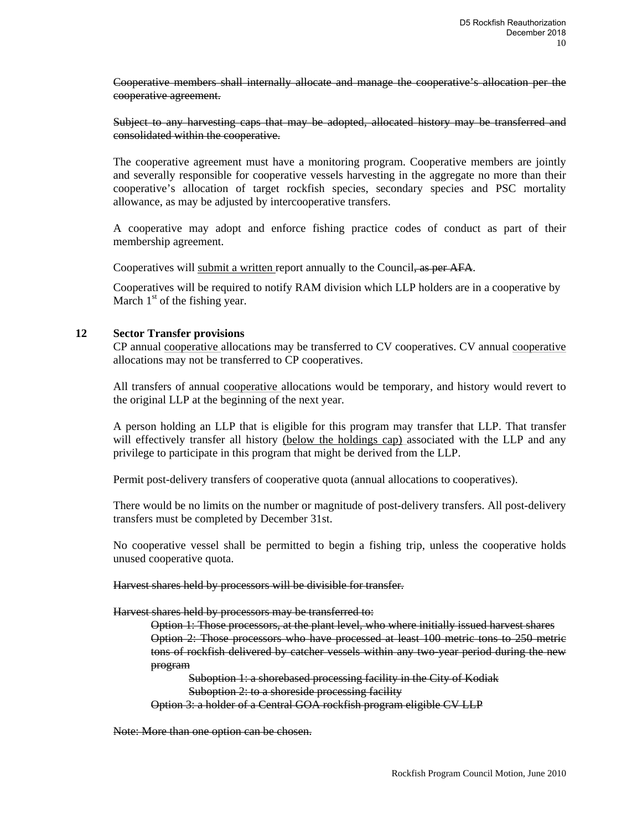Cooperative members shall internally allocate and manage the cooperative's allocation per the cooperative agreement.

Subject to any harvesting caps that may be adopted, allocated history may be transferred and consolidated within the cooperative.

The cooperative agreement must have a monitoring program. Cooperative members are jointly and severally responsible for cooperative vessels harvesting in the aggregate no more than their cooperative's allocation of target rockfish species, secondary species and PSC mortality allowance, as may be adjusted by intercooperative transfers.

A cooperative may adopt and enforce fishing practice codes of conduct as part of their membership agreement.

Cooperatives will submit a written report annually to the Council, as per AFA.

Cooperatives will be required to notify RAM division which LLP holders are in a cooperative by March  $1<sup>st</sup>$  of the fishing year.

#### **12 Sector Transfer provisions**

CP annual cooperative allocations may be transferred to CV cooperatives. CV annual cooperative allocations may not be transferred to CP cooperatives.

All transfers of annual cooperative allocations would be temporary, and history would revert to the original LLP at the beginning of the next year.

A person holding an LLP that is eligible for this program may transfer that LLP. That transfer will effectively transfer all history (below the holdings cap) associated with the LLP and any privilege to participate in this program that might be derived from the LLP.

Permit post-delivery transfers of cooperative quota (annual allocations to cooperatives).

There would be no limits on the number or magnitude of post-delivery transfers. All post-delivery transfers must be completed by December 31st.

No cooperative vessel shall be permitted to begin a fishing trip, unless the cooperative holds unused cooperative quota.

Harvest shares held by processors will be divisible for transfer.

Harvest shares held by processors may be transferred to:

Option 1: Those processors, at the plant level, who where initially issued harvest shares Option 2: Those processors who have processed at least 100 metric tons to 250 metric tons of rockfish delivered by catcher vessels within any two-year period during the new program

Suboption 1: a shorebased processing facility in the City of Kodiak Suboption 2: to a shoreside processing facility

Option 3: a holder of a Central GOA rockfish program eligible CV LLP

Note: More than one option can be chosen.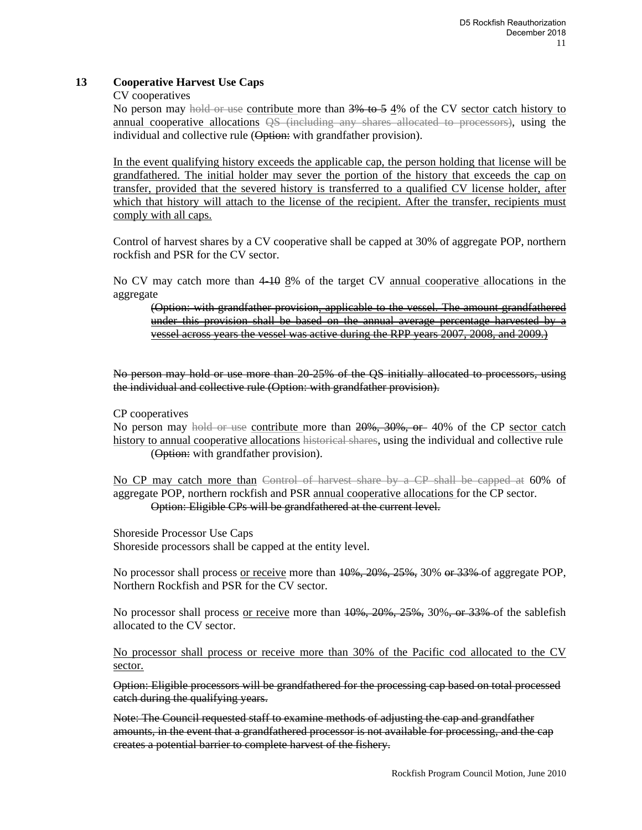## **13 Cooperative Harvest Use Caps**

#### CV cooperatives

No person may hold or use contribute more than 3% to 5 4% of the CV sector catch history to annual cooperative allocations QS (including any shares allocated to processors), using the individual and collective rule (Option: with grandfather provision).

In the event qualifying history exceeds the applicable cap, the person holding that license will be grandfathered. The initial holder may sever the portion of the history that exceeds the cap on transfer, provided that the severed history is transferred to a qualified CV license holder, after which that history will attach to the license of the recipient. After the transfer, recipients must comply with all caps.

Control of harvest shares by a CV cooperative shall be capped at 30% of aggregate POP, northern rockfish and PSR for the CV sector.

No CV may catch more than 4-10 8% of the target CV annual cooperative allocations in the aggregate

(Option: with grandfather provision, applicable to the vessel. The amount grandfathered under this provision shall be based on the annual average percentage harvested by a vessel across years the vessel was active during the RPP years 2007, 2008, and 2009.)

No person may hold or use more than 20-25% of the QS initially allocated to processors, using the individual and collective rule (Option: with grandfather provision).

CP cooperatives

No person may hold or use contribute more than 20%, 30%, or 40% of the CP sector catch history to annual cooperative allocations historical shares, using the individual and collective rule (Option: with grandfather provision).

No CP may catch more than Control of harvest share by a CP shall be capped at 60% of aggregate POP, northern rockfish and PSR annual cooperative allocations for the CP sector. Option: Eligible CPs will be grandfathered at the current level.

Shoreside Processor Use Caps Shoreside processors shall be capped at the entity level.

No processor shall process or receive more than  $10\%, 20\%, 25\%, 30\%$  or 33% of aggregate POP, Northern Rockfish and PSR for the CV sector.

No processor shall process or receive more than  $10\%, 20\%, 25\%, 30\%, or 33\%$  of the sablefish allocated to the CV sector.

No processor shall process or receive more than 30% of the Pacific cod allocated to the CV sector.

Option: Eligible processors will be grandfathered for the processing cap based on total processed catch during the qualifying years.

Note: The Council requested staff to examine methods of adjusting the cap and grandfather amounts, in the event that a grandfathered processor is not available for processing, and the cap creates a potential barrier to complete harvest of the fishery.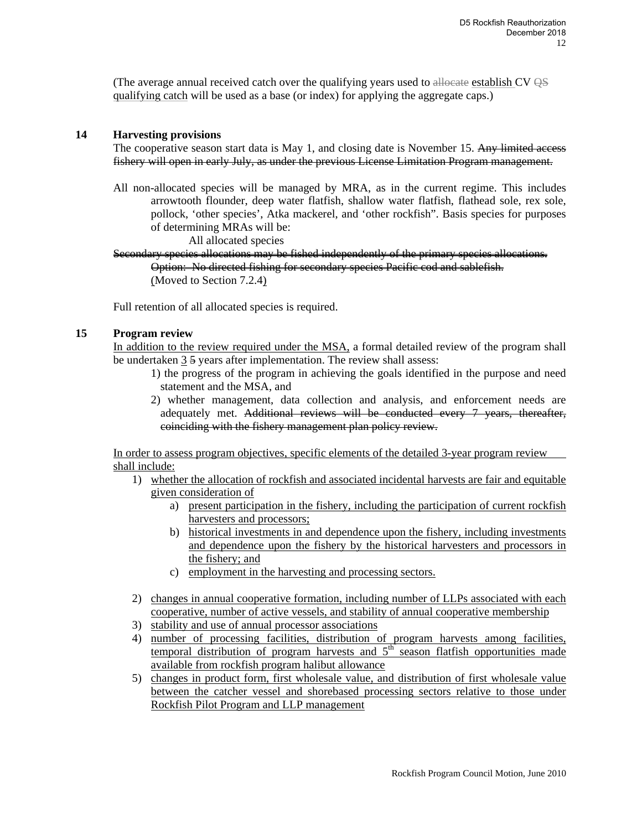(The average annual received catch over the qualifying years used to allocate establish CV  $\Theta$ S qualifying catch will be used as a base (or index) for applying the aggregate caps.)

#### **14 Harvesting provisions**

The cooperative season start data is May 1, and closing date is November 15. Any limited access fishery will open in early July, as under the previous License Limitation Program management.

All non-allocated species will be managed by MRA, as in the current regime. This includes arrowtooth flounder, deep water flatfish, shallow water flatfish, flathead sole, rex sole, pollock, 'other species', Atka mackerel, and 'other rockfish". Basis species for purposes of determining MRAs will be:

All allocated species

Secondary species allocations may be fished independently of the primary species allocations. Option: No directed fishing for secondary species Pacific cod and sablefish. (Moved to Section 7.2.4)

Full retention of all allocated species is required.

#### **15 Program review**

In addition to the review required under the MSA, a formal detailed review of the program shall be undertaken 3 5 years after implementation. The review shall assess:

- 1) the progress of the program in achieving the goals identified in the purpose and need statement and the MSA, and
- 2) whether management, data collection and analysis, and enforcement needs are adequately met. Additional reviews will be conducted every 7 years, thereafter, coinciding with the fishery management plan policy review.

In order to assess program objectives, specific elements of the detailed 3-year program review shall include:

- 1) whether the allocation of rockfish and associated incidental harvests are fair and equitable given consideration of
	- a) present participation in the fishery, including the participation of current rockfish harvesters and processors;
	- b) historical investments in and dependence upon the fishery, including investments and dependence upon the fishery by the historical harvesters and processors in the fishery; and
	- c) employment in the harvesting and processing sectors.
- 2) changes in annual cooperative formation, including number of LLPs associated with each cooperative, number of active vessels, and stability of annual cooperative membership
- 3) stability and use of annual processor associations
- 4) number of processing facilities, distribution of program harvests among facilities, temporal distribution of program harvests and  $5<sup>th</sup>$  season flatfish opportunities made available from rockfish program halibut allowance
- 5) changes in product form, first wholesale value, and distribution of first wholesale value between the catcher vessel and shorebased processing sectors relative to those under Rockfish Pilot Program and LLP management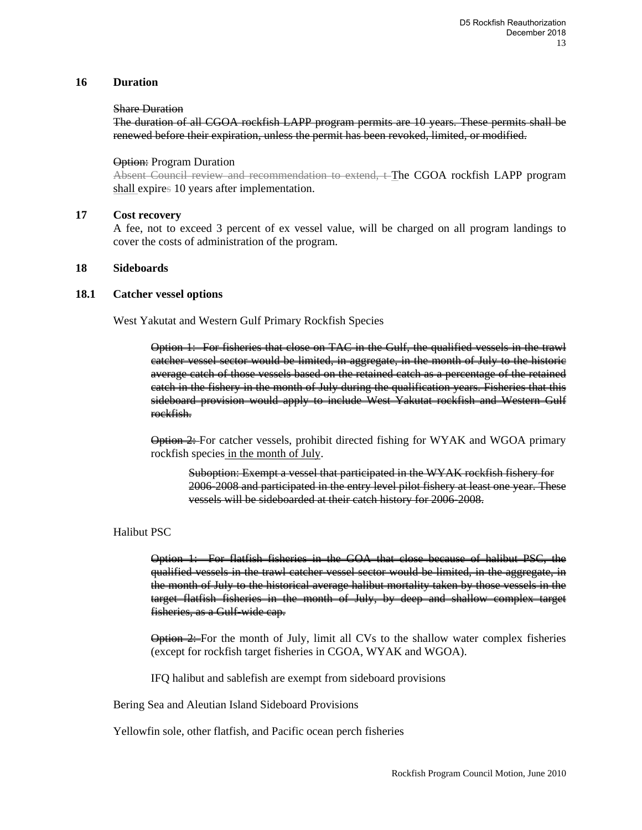#### **16 Duration**

#### Share Duration

The duration of all CGOA rockfish LAPP program permits are 10 years. These permits shall be renewed before their expiration, unless the permit has been revoked, limited, or modified.

#### Option: Program Duration

Absent Council review and recommendation to extend, t-The CGOA rockfish LAPP program shall expires 10 years after implementation.

#### **17 Cost recovery**

A fee, not to exceed 3 percent of ex vessel value, will be charged on all program landings to cover the costs of administration of the program.

#### **18 Sideboards**

#### **18.1 Catcher vessel options**

West Yakutat and Western Gulf Primary Rockfish Species

Option 1: For fisheries that close on TAC in the Gulf, the qualified vessels in the trawl catcher vessel sector would be limited, in aggregate, in the month of July to the historic average catch of those vessels based on the retained catch as a percentage of the retained catch in the fishery in the month of July during the qualification years. Fisheries that this sideboard provision would apply to include West Yakutat rockfish and Western Gulf rockfish.

Option 2: For catcher vessels, prohibit directed fishing for WYAK and WGOA primary rockfish species in the month of July.

Suboption: Exempt a vessel that participated in the WYAK rockfish fishery for 2006-2008 and participated in the entry level pilot fishery at least one year. These vessels will be sideboarded at their catch history for 2006-2008.

#### Halibut PSC

Option 1: For flatfish fisheries in the GOA that close because of halibut PSC, the qualified vessels in the trawl catcher vessel sector would be limited, in the aggregate, in the month of July to the historical average halibut mortality taken by those vessels in the target flatfish fisheries in the month of July, by deep and shallow complex target fisheries, as a Gulf-wide cap.

**Option 2:** For the month of July, limit all CVs to the shallow water complex fisheries (except for rockfish target fisheries in CGOA, WYAK and WGOA).

IFQ halibut and sablefish are exempt from sideboard provisions

Bering Sea and Aleutian Island Sideboard Provisions

Yellowfin sole, other flatfish, and Pacific ocean perch fisheries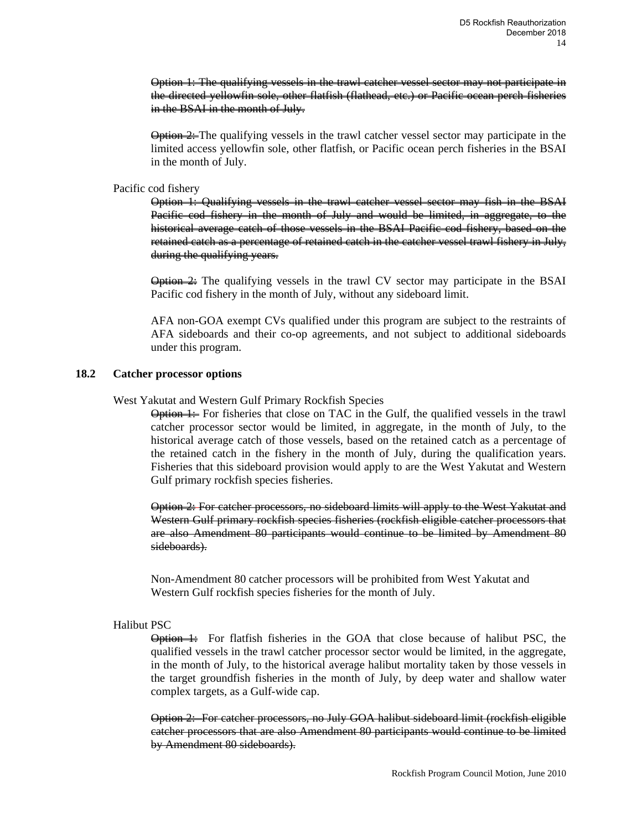Option 1: The qualifying vessels in the trawl catcher vessel sector may not participate in the directed yellowfin sole, other flatfish (flathead, etc.) or Pacific ocean perch fisheries in the BSAI in the month of July.

 $\Theta$   $\cong$  The qualifying vessels in the trawl catcher vessel sector may participate in the limited access yellowfin sole, other flatfish, or Pacific ocean perch fisheries in the BSAI in the month of July.

#### Pacific cod fishery

Option 1: Qualifying vessels in the trawl catcher vessel sector may fish in the BSAI Pacific cod fishery in the month of July and would be limited, in aggregate, to the historical average catch of those vessels in the BSAI Pacific cod fishery, based on the retained catch as a percentage of retained catch in the catcher vessel trawl fishery in July, during the qualifying years.

 $\Theta$ tion  $\cong$  The qualifying vessels in the trawl CV sector may participate in the BSAI Pacific cod fishery in the month of July, without any sideboard limit.

AFA non-GOA exempt CVs qualified under this program are subject to the restraints of AFA sideboards and their co-op agreements, and not subject to additional sideboards under this program.

#### **18.2 Catcher processor options**

#### West Yakutat and Western Gulf Primary Rockfish Species

Option 1: For fisheries that close on TAC in the Gulf, the qualified vessels in the trawl catcher processor sector would be limited, in aggregate, in the month of July, to the historical average catch of those vessels, based on the retained catch as a percentage of the retained catch in the fishery in the month of July, during the qualification years. Fisheries that this sideboard provision would apply to are the West Yakutat and Western Gulf primary rockfish species fisheries.

Option 2: For catcher processors, no sideboard limits will apply to the West Yakutat and Western Gulf primary rockfish species fisheries (rockfish eligible catcher processors that are also Amendment 80 participants would continue to be limited by Amendment 80 sideboards).

Non-Amendment 80 catcher processors will be prohibited from West Yakutat and Western Gulf rockfish species fisheries for the month of July.

#### Halibut PSC

 $\Theta$ tion  $\vdash$  For flatfish fisheries in the GOA that close because of halibut PSC, the qualified vessels in the trawl catcher processor sector would be limited, in the aggregate, in the month of July, to the historical average halibut mortality taken by those vessels in the target groundfish fisheries in the month of July, by deep water and shallow water complex targets, as a Gulf-wide cap.

Option 2: For catcher processors, no July GOA halibut sideboard limit (rockfish eligible catcher processors that are also Amendment 80 participants would continue to be limited by Amendment 80 sideboards).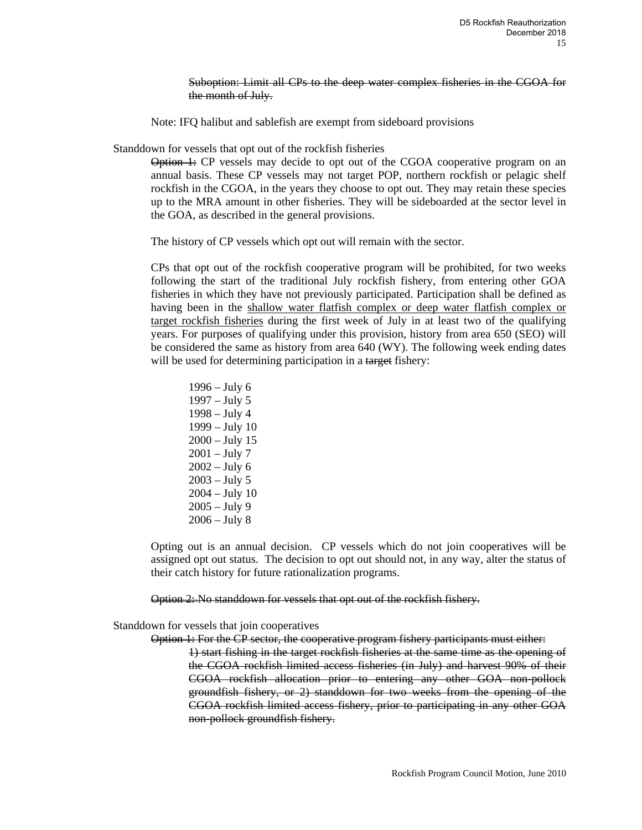Suboption: Limit all CPs to the deep water complex fisheries in the CGOA for the month of July.

Note: IFQ halibut and sablefish are exempt from sideboard provisions

Standdown for vessels that opt out of the rockfish fisheries

 $\Theta$ tion  $\vdash$ : CP vessels may decide to opt out of the CGOA cooperative program on an annual basis. These CP vessels may not target POP, northern rockfish or pelagic shelf rockfish in the CGOA, in the years they choose to opt out. They may retain these species up to the MRA amount in other fisheries. They will be sideboarded at the sector level in the GOA, as described in the general provisions.

The history of CP vessels which opt out will remain with the sector.

CPs that opt out of the rockfish cooperative program will be prohibited, for two weeks following the start of the traditional July rockfish fishery, from entering other GOA fisheries in which they have not previously participated. Participation shall be defined as having been in the shallow water flatfish complex or deep water flatfish complex or target rockfish fisheries during the first week of July in at least two of the qualifying years. For purposes of qualifying under this provision, history from area 650 (SEO) will be considered the same as history from area 640 (WY). The following week ending dates will be used for determining participation in a target fishery:

1996 – July 6 1997 – July 5 1998 – July 4 1999 – July 10 2000 – July 15  $2001 - July 7$  $2002 - July 6$ 2003 – July 5 2004 – July 10 2005 – July 9 2006 – July 8

Opting out is an annual decision. CP vessels which do not join cooperatives will be assigned opt out status. The decision to opt out should not, in any way, alter the status of their catch history for future rationalization programs.

Option 2: No standdown for vessels that opt out of the rockfish fishery.

Standdown for vessels that join cooperatives

Option 1: For the CP sector, the cooperative program fishery participants must either:

1) start fishing in the target rockfish fisheries at the same time as the opening of the CGOA rockfish limited access fisheries (in July) and harvest 90% of their CGOA rockfish allocation prior to entering any other GOA non-pollock groundfish fishery, or 2) standdown for two weeks from the opening of the CGOA rockfish limited access fishery, prior to participating in any other GOA non-pollock groundfish fishery.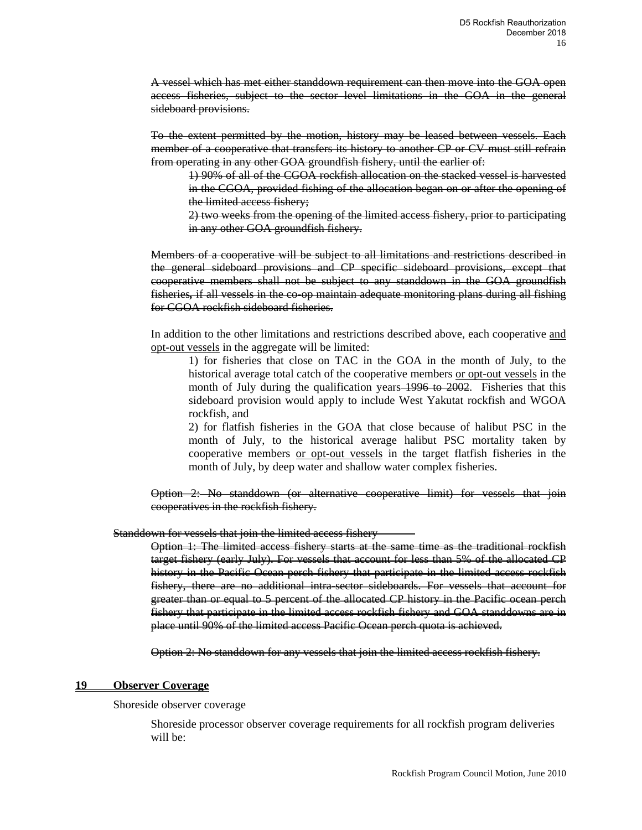A vessel which has met either standdown requirement can then move into the GOA open access fisheries, subject to the sector level limitations in the GOA in the general sideboard provisions.

To the extent permitted by the motion, history may be leased between vessels. Each member of a cooperative that transfers its history to another CP or CV must still refrain from operating in any other GOA groundfish fishery, until the earlier of:

1) 90% of all of the CGOA rockfish allocation on the stacked vessel is harvested in the CGOA, provided fishing of the allocation began on or after the opening of the limited access fishery;

2) two weeks from the opening of the limited access fishery, prior to participating in any other GOA groundfish fishery.

Members of a cooperative will be subject to all limitations and restrictions described in the general sideboard provisions and CP specific sideboard provisions, except that cooperative members shall not be subject to any standdown in the GOA groundfish fisheries*,* if all vessels in the co-op maintain adequate monitoring plans during all fishing for CGOA rockfish sideboard fisheries.

In addition to the other limitations and restrictions described above, each cooperative and opt-out vessels in the aggregate will be limited:

1) for fisheries that close on TAC in the GOA in the month of July, to the historical average total catch of the cooperative members or opt-out vessels in the month of July during the qualification years 1996 to 2002. Fisheries that this sideboard provision would apply to include West Yakutat rockfish and WGOA rockfish, and

2) for flatfish fisheries in the GOA that close because of halibut PSC in the month of July, to the historical average halibut PSC mortality taken by cooperative members or opt-out vessels in the target flatfish fisheries in the month of July, by deep water and shallow water complex fisheries.

Option 2: No standdown (or alternative cooperative limit) for vessels that join cooperatives in the rockfish fishery.

#### Standdown for vessels that join the limited access fishery

Option 1: The limited access fishery starts at the same time as the traditional rockfish target fishery (early July). For vessels that account for less than 5% of the allocated CP history in the Pacific Ocean perch fishery that participate in the limited access rockfish fishery, there are no additional intra-sector sideboards. For vessels that account for greater than or equal to 5 percent of the allocated CP history in the Pacific ocean perch fishery that participate in the limited access rockfish fishery and GOA standdowns are in place until 90% of the limited access Pacific Ocean perch quota is achieved.

Option 2: No standdown for any vessels that join the limited access rockfish fishery.

#### **19 Observer Coverage**

Shoreside observer coverage

Shoreside processor observer coverage requirements for all rockfish program deliveries will be: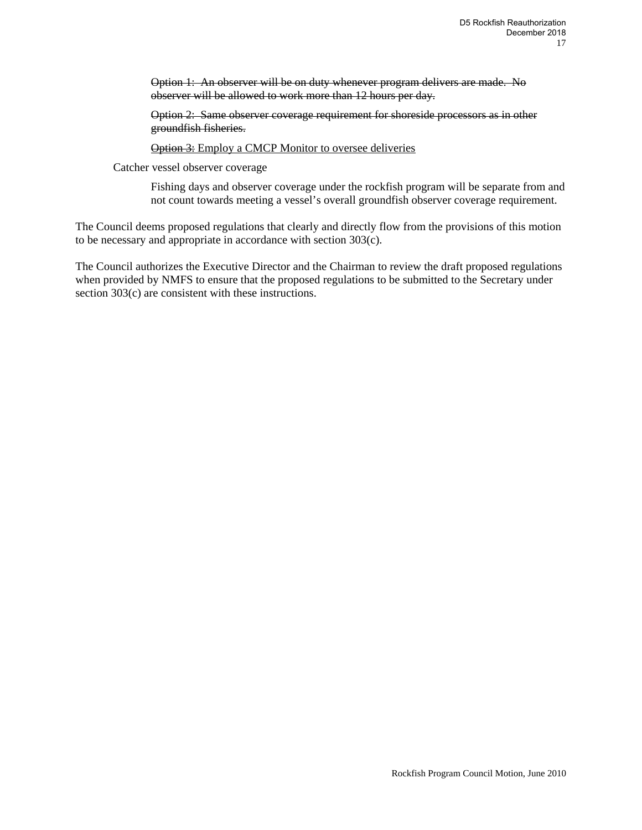Option 1: An observer will be on duty whenever program delivers are made. No observer will be allowed to work more than 12 hours per day.

Option 2: Same observer coverage requirement for shoreside processors as in other groundfish fisheries.

**Option 3:** Employ a CMCP Monitor to oversee deliveries

Catcher vessel observer coverage

Fishing days and observer coverage under the rockfish program will be separate from and not count towards meeting a vessel's overall groundfish observer coverage requirement.

The Council deems proposed regulations that clearly and directly flow from the provisions of this motion to be necessary and appropriate in accordance with section 303(c).

The Council authorizes the Executive Director and the Chairman to review the draft proposed regulations when provided by NMFS to ensure that the proposed regulations to be submitted to the Secretary under section 303(c) are consistent with these instructions.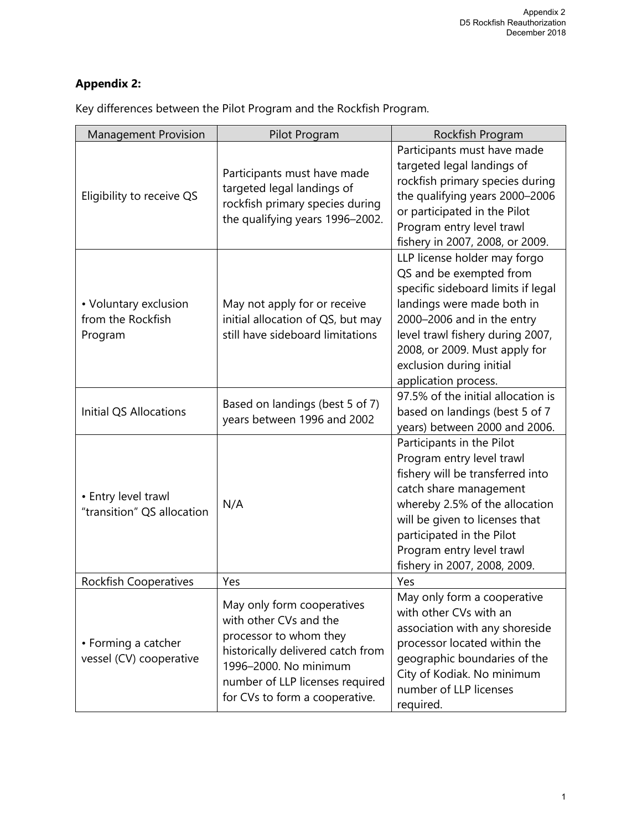# **Appendix 2:**

| <b>Management Provision</b>                           | Pilot Program                                                                                                                                                                                                     | Rockfish Program                                                                                                                                                                                                                                                                   |
|-------------------------------------------------------|-------------------------------------------------------------------------------------------------------------------------------------------------------------------------------------------------------------------|------------------------------------------------------------------------------------------------------------------------------------------------------------------------------------------------------------------------------------------------------------------------------------|
| Eligibility to receive QS                             | Participants must have made<br>targeted legal landings of<br>rockfish primary species during<br>the qualifying years 1996-2002.                                                                                   | Participants must have made<br>targeted legal landings of<br>rockfish primary species during<br>the qualifying years 2000-2006<br>or participated in the Pilot<br>Program entry level trawl<br>fishery in 2007, 2008, or 2009.                                                     |
| • Voluntary exclusion<br>from the Rockfish<br>Program | May not apply for or receive<br>initial allocation of QS, but may<br>still have sideboard limitations                                                                                                             | LLP license holder may forgo<br>QS and be exempted from<br>specific sideboard limits if legal<br>landings were made both in<br>2000-2006 and in the entry<br>level trawl fishery during 2007,<br>2008, or 2009. Must apply for<br>exclusion during initial<br>application process. |
| <b>Initial QS Allocations</b>                         | Based on landings (best 5 of 7)<br>years between 1996 and 2002                                                                                                                                                    | 97.5% of the initial allocation is<br>based on landings (best 5 of 7<br>years) between 2000 and 2006.                                                                                                                                                                              |
| • Entry level trawl<br>"transition" QS allocation     | N/A                                                                                                                                                                                                               | Participants in the Pilot<br>Program entry level trawl<br>fishery will be transferred into<br>catch share management<br>whereby 2.5% of the allocation<br>will be given to licenses that<br>participated in the Pilot<br>Program entry level trawl<br>fishery in 2007, 2008, 2009. |
| <b>Rockfish Cooperatives</b>                          | Yes                                                                                                                                                                                                               | Yes                                                                                                                                                                                                                                                                                |
| • Forming a catcher<br>vessel (CV) cooperative        | May only form cooperatives<br>with other CVs and the<br>processor to whom they<br>historically delivered catch from<br>1996-2000. No minimum<br>number of LLP licenses required<br>for CVs to form a cooperative. | May only form a cooperative<br>with other CVs with an<br>association with any shoreside<br>processor located within the<br>geographic boundaries of the<br>City of Kodiak. No minimum<br>number of LLP licenses<br>required.                                                       |

Key differences between the Pilot Program and the Rockfish Program.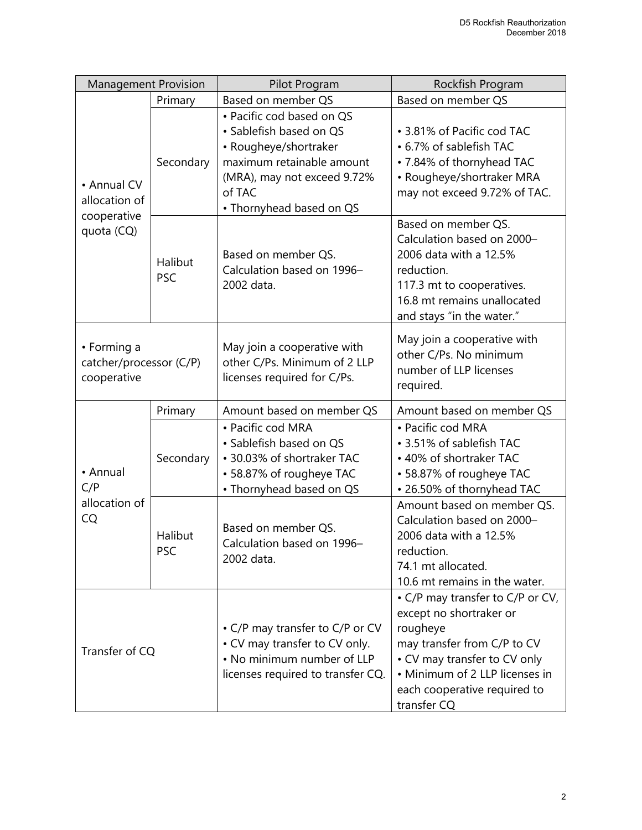| <b>Management Provision</b>                               |                       | Pilot Program                                                                                                                                                                   | Rockfish Program                                                                                                                                                                                                        |
|-----------------------------------------------------------|-----------------------|---------------------------------------------------------------------------------------------------------------------------------------------------------------------------------|-------------------------------------------------------------------------------------------------------------------------------------------------------------------------------------------------------------------------|
|                                                           | Primary               | Based on member QS                                                                                                                                                              | Based on member QS                                                                                                                                                                                                      |
| • Annual CV<br>allocation of<br>cooperative<br>quota (CQ) | Secondary             | • Pacific cod based on QS<br>• Sablefish based on QS<br>• Rougheye/shortraker<br>maximum retainable amount<br>(MRA), may not exceed 9.72%<br>of TAC<br>• Thornyhead based on QS | • 3.81% of Pacific cod TAC<br>• 6.7% of sablefish TAC<br>• 7.84% of thornyhead TAC<br>• Rougheye/shortraker MRA<br>may not exceed 9.72% of TAC.                                                                         |
|                                                           | Halibut<br><b>PSC</b> | Based on member QS.<br>Calculation based on 1996-<br>2002 data.                                                                                                                 | Based on member QS.<br>Calculation based on 2000-<br>2006 data with a 12.5%<br>reduction.<br>117.3 mt to cooperatives.<br>16.8 mt remains unallocated<br>and stays "in the water."                                      |
| • Forming a<br>catcher/processor (C/P)<br>cooperative     |                       | May join a cooperative with<br>other C/Ps. Minimum of 2 LLP<br>licenses required for C/Ps.                                                                                      | May join a cooperative with<br>other C/Ps. No minimum<br>number of LLP licenses<br>required.                                                                                                                            |
|                                                           | Primary               | Amount based on member QS                                                                                                                                                       | Amount based on member QS                                                                                                                                                                                               |
| • Annual<br>C/P<br>allocation of<br>CQ                    | Secondary             | • Pacific cod MRA<br>· Sablefish based on QS<br>• 30.03% of shortraker TAC<br>• 58.87% of rougheye TAC<br>• Thornyhead based on QS                                              | • Pacific cod MRA<br>• 3.51% of sablefish TAC<br>• 40% of shortraker TAC<br>• 58.87% of rougheye TAC<br>• 26.50% of thornyhead TAC                                                                                      |
|                                                           | Halibut<br><b>PSC</b> | Based on member QS.<br>Calculation based on 1996-<br>2002 data.                                                                                                                 | Amount based on member QS.<br>Calculation based on 2000-<br>2006 data with a 12.5%<br>reduction.<br>74.1 mt allocated.<br>10.6 mt remains in the water.                                                                 |
| Transfer of CQ                                            |                       | • C/P may transfer to C/P or CV<br>• CV may transfer to CV only.<br>. No minimum number of LLP<br>licenses required to transfer CQ.                                             | • C/P may transfer to C/P or CV,<br>except no shortraker or<br>rougheye<br>may transfer from C/P to CV<br>• CV may transfer to CV only<br>• Minimum of 2 LLP licenses in<br>each cooperative required to<br>transfer CQ |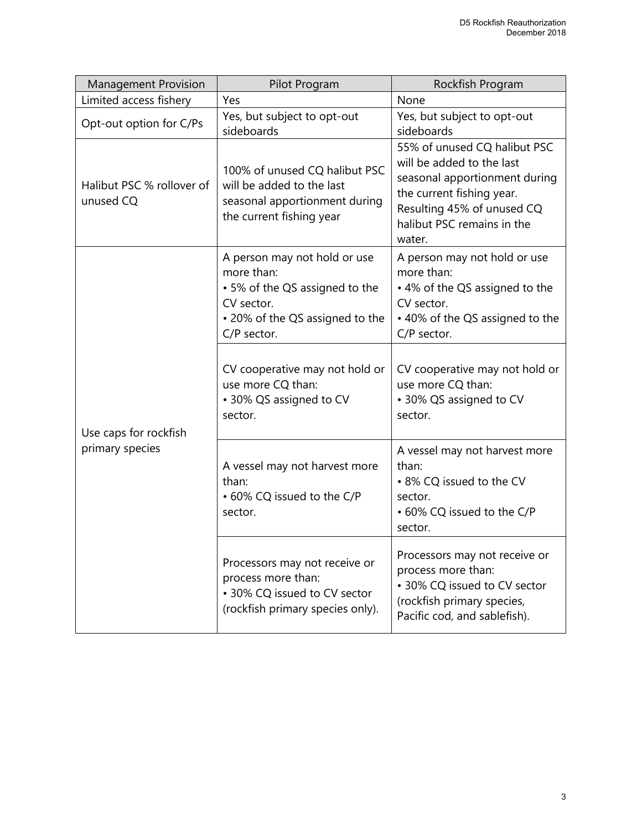| <b>Management Provision</b>            | Pilot Program                                                                                                                                | Rockfish Program                                                                                                                                                                              |
|----------------------------------------|----------------------------------------------------------------------------------------------------------------------------------------------|-----------------------------------------------------------------------------------------------------------------------------------------------------------------------------------------------|
| Limited access fishery                 | Yes                                                                                                                                          | None                                                                                                                                                                                          |
| Opt-out option for C/Ps                | Yes, but subject to opt-out<br>sideboards                                                                                                    | Yes, but subject to opt-out<br>sideboards                                                                                                                                                     |
| Halibut PSC % rollover of<br>unused CQ | 100% of unused CQ halibut PSC<br>will be added to the last<br>seasonal apportionment during<br>the current fishing year                      | 55% of unused CQ halibut PSC<br>will be added to the last<br>seasonal apportionment during<br>the current fishing year.<br>Resulting 45% of unused CQ<br>halibut PSC remains in the<br>water. |
|                                        | A person may not hold or use<br>more than:<br>• 5% of the QS assigned to the<br>CV sector.<br>• 20% of the QS assigned to the<br>C/P sector. | A person may not hold or use<br>more than:<br>• 4% of the QS assigned to the<br>CV sector.<br>• 40% of the QS assigned to the<br>C/P sector.                                                  |
| Use caps for rockfish                  | CV cooperative may not hold or<br>use more CQ than:<br>• 30% QS assigned to CV<br>sector.                                                    | CV cooperative may not hold or<br>use more CQ than:<br>• 30% QS assigned to CV<br>sector.                                                                                                     |
| primary species                        | A vessel may not harvest more<br>than:<br>• 60% CQ issued to the C/P<br>sector.                                                              | A vessel may not harvest more<br>than:<br>• 8% CQ issued to the CV<br>sector.<br>• 60% CQ issued to the C/P<br>sector.                                                                        |
|                                        | Processors may not receive or<br>process more than:<br>• 30% CQ issued to CV sector<br>(rockfish primary species only).                      | Processors may not receive or<br>process more than:<br>• 30% CQ issued to CV sector<br>(rockfish primary species,<br>Pacific cod, and sablefish).                                             |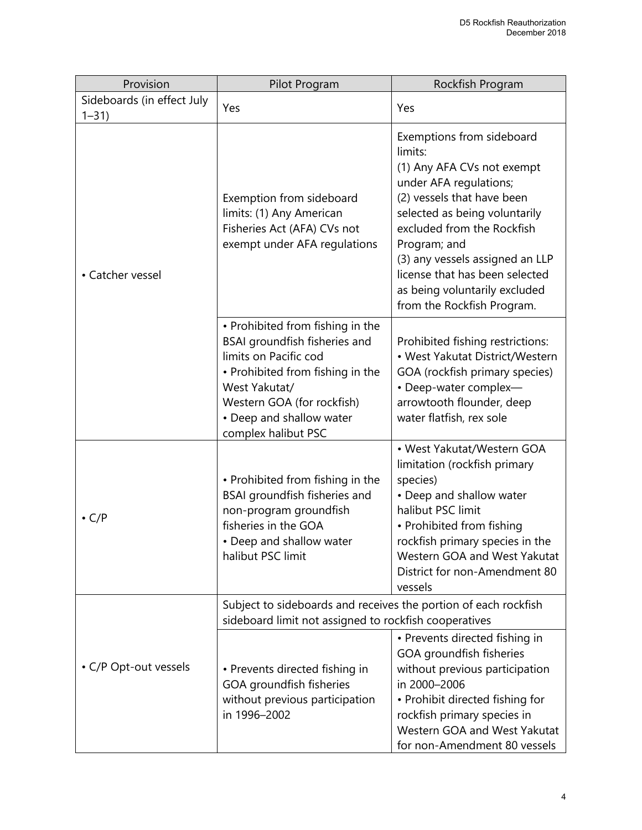| Provision                              | Pilot Program                                                                                                                                                                                                                    | Rockfish Program                                                                                                                                                                                                                                                                                                                              |
|----------------------------------------|----------------------------------------------------------------------------------------------------------------------------------------------------------------------------------------------------------------------------------|-----------------------------------------------------------------------------------------------------------------------------------------------------------------------------------------------------------------------------------------------------------------------------------------------------------------------------------------------|
| Sideboards (in effect July<br>$1 - 31$ | Yes                                                                                                                                                                                                                              | Yes                                                                                                                                                                                                                                                                                                                                           |
| • Catcher vessel                       | Exemption from sideboard<br>limits: (1) Any American<br>Fisheries Act (AFA) CVs not<br>exempt under AFA regulations                                                                                                              | Exemptions from sideboard<br>limits:<br>(1) Any AFA CVs not exempt<br>under AFA regulations;<br>(2) vessels that have been<br>selected as being voluntarily<br>excluded from the Rockfish<br>Program; and<br>(3) any vessels assigned an LLP<br>license that has been selected<br>as being voluntarily excluded<br>from the Rockfish Program. |
|                                        | • Prohibited from fishing in the<br>BSAI groundfish fisheries and<br>limits on Pacific cod<br>• Prohibited from fishing in the<br>West Yakutat/<br>Western GOA (for rockfish)<br>• Deep and shallow water<br>complex halibut PSC | Prohibited fishing restrictions:<br>• West Yakutat District/Western<br>GOA (rockfish primary species)<br>• Deep-water complex-<br>arrowtooth flounder, deep<br>water flatfish, rex sole                                                                                                                                                       |
| $\cdot$ C/P                            | • Prohibited from fishing in the<br>BSAI groundfish fisheries and<br>non-program groundfish<br>fisheries in the GOA<br>• Deep and shallow water<br>halibut PSC limit                                                             | • West Yakutat/Western GOA<br>limitation (rockfish primary<br>species)<br>• Deep and shallow water<br>halibut PSC limit<br>• Prohibited from fishing<br>rockfish primary species in the<br>Western GOA and West Yakutat<br>District for non-Amendment 80<br>vessels                                                                           |
|                                        | Subject to sideboards and receives the portion of each rockfish<br>sideboard limit not assigned to rockfish cooperatives                                                                                                         |                                                                                                                                                                                                                                                                                                                                               |
| • C/P Opt-out vessels                  | • Prevents directed fishing in<br>GOA groundfish fisheries<br>without previous participation<br>in 1996-2002                                                                                                                     | • Prevents directed fishing in<br>GOA groundfish fisheries<br>without previous participation<br>in 2000-2006<br>• Prohibit directed fishing for<br>rockfish primary species in<br>Western GOA and West Yakutat<br>for non-Amendment 80 vessels                                                                                                |